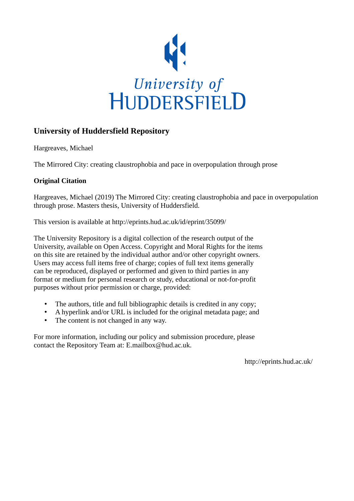

# **University of Huddersfield Repository**

Hargreaves, Michael

The Mirrored City: creating claustrophobia and pace in overpopulation through prose

# **Original Citation**

Hargreaves, Michael (2019) The Mirrored City: creating claustrophobia and pace in overpopulation through prose. Masters thesis, University of Huddersfield.

This version is available at http://eprints.hud.ac.uk/id/eprint/35099/

The University Repository is a digital collection of the research output of the University, available on Open Access. Copyright and Moral Rights for the items on this site are retained by the individual author and/or other copyright owners. Users may access full items free of charge; copies of full text items generally can be reproduced, displayed or performed and given to third parties in any format or medium for personal research or study, educational or not-for-profit purposes without prior permission or charge, provided:

- The authors, title and full bibliographic details is credited in any copy;
- A hyperlink and/or URL is included for the original metadata page; and
- The content is not changed in any way.

For more information, including our policy and submission procedure, please contact the Repository Team at: E.mailbox@hud.ac.uk.

http://eprints.hud.ac.uk/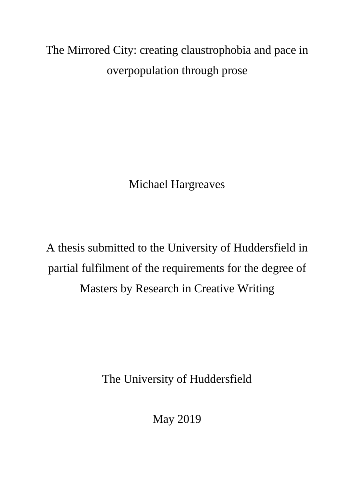The Mirrored City: creating claustrophobia and pace in overpopulation through prose

Michael Hargreaves

A thesis submitted to the University of Huddersfield in partial fulfilment of the requirements for the degree of Masters by Research in Creative Writing

The University of Huddersfield

May 2019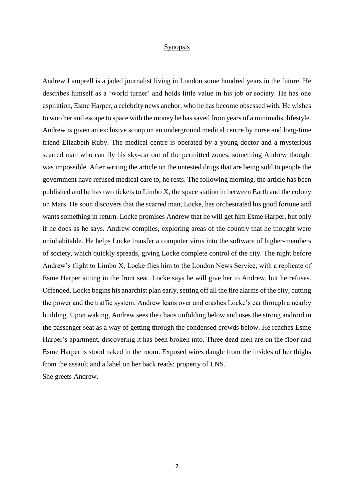# Synopsis

Andrew Lamprell is a jaded journalist living in London some hundred years in the future. He describes himself as a 'world turner' and holds little value in his job or society. He has one aspiration, Esme Harper, a celebrity news anchor, who he has become obsessed with. He wishes to woo her and escape to space with the money he has saved from years of a minimalist lifestyle. Andrew is given an exclusive scoop on an underground medical centre by nurse and long-time friend Elizabeth Ruby. The medical centre is operated by a young doctor and a mysterious scarred man who can fly his sky-car out of the permitted zones, something Andrew thought was impossible. After writing the article on the untested drugs that are being sold to people the government have refused medical care to, he rests. The following morning, the article has been published and he has two tickets to Limbo X, the space station in between Earth and the colony on Mars. He soon discovers that the scarred man, Locke, has orchestrated his good fortune and wants something in return. Locke promises Andrew that he will get him Esme Harper, but only if he does as he says. Andrew complies, exploring areas of the country that he thought were uninhabitable. He helps Locke transfer a computer virus into the software of higher-members of society, which quickly spreads, giving Locke complete control of the city. The night before Andrew's flight to Limbo X, Locke flies him to the London News Service, with a replicate of Esme Harper sitting in the front seat. Locke says he will give her to Andrew, but he refuses. Offended, Locke begins his anarchist plan early, setting off all the fire alarms of the city, cutting the power and the traffic system. Andrew leans over and crashes Locke's car through a nearby building. Upon waking, Andrew sees the chaos unfolding below and uses the strong android in the passenger seat as a way of getting through the condensed crowds below. He reaches Esme Harper's apartment, discovering it has been broken into. Three dead men are on the floor and Esme Harper is stood naked in the room. Exposed wires dangle from the insides of her thighs from the assault and a label on her back reads: property of LNS. She greets Andrew.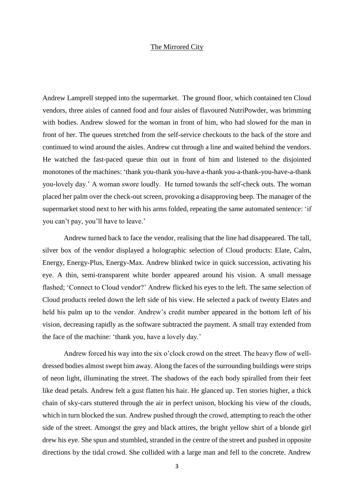## The Mirrored City

Andrew Lamprell stepped into the supermarket. The ground floor, which contained ten Cloud vendors, three aisles of canned food and four aisles of flavoured NutriPowder, was brimming with bodies. Andrew slowed for the woman in front of him, who had slowed for the man in front of her. The queues stretched from the self-service checkouts to the back of the store and continued to wind around the aisles. Andrew cut through a line and waited behind the vendors. He watched the fast-paced queue thin out in front of him and listened to the disjointed monotones of the machines: 'thank you-thank you-have a-thank you-a-thank-you-have-a-thank you-lovely day.' A woman swore loudly. He turned towards the self-check outs. The woman placed her palm over the check-out screen, provoking a disapproving beep. The manager of the supermarket stood next to her with his arms folded, repeating the same automated sentence: 'if you can't pay, you'll have to leave.'

Andrew turned back to face the vendor, realising that the line had disappeared. The tall, silver box of the vendor displayed a holographic selection of Cloud products: Elate, Calm, Energy, Energy-Plus, Energy-Max. Andrew blinked twice in quick succession, activating his eye. A thin, semi-transparent white border appeared around his vision. A small message flashed; 'Connect to Cloud vendor?' Andrew flicked his eyes to the left. The same selection of Cloud products reeled down the left side of his view. He selected a pack of twenty Elates and held his palm up to the vendor. Andrew's credit number appeared in the bottom left of his vision, decreasing rapidly as the software subtracted the payment. A small tray extended from the face of the machine: 'thank you, have a lovely day.'

Andrew forced his way into the six o'clock crowd on the street. The heavy flow of welldressed bodies almost swept him away. Along the faces of the surrounding buildings were strips of neon light, illuminating the street. The shadows of the each body spiralled from their feet like dead petals. Andrew felt a gust flatten his hair. He glanced up. Ten stories higher, a thick chain of sky-cars stuttered through the air in perfect unison, blocking his view of the clouds, which in turn blocked the sun. Andrew pushed through the crowd, attempting to reach the other side of the street. Amongst the grey and black attires, the bright yellow shirt of a blonde girl drew his eye. She spun and stumbled, stranded in the centre of the street and pushed in opposite directions by the tidal crowd. She collided with a large man and fell to the concrete. Andrew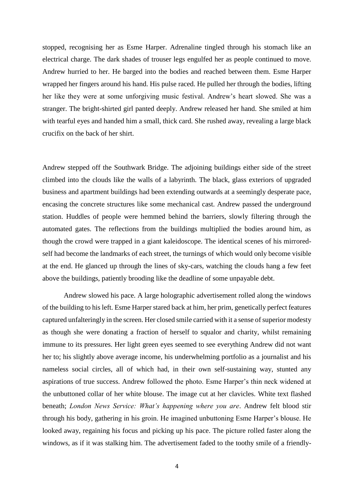stopped, recognising her as Esme Harper. Adrenaline tingled through his stomach like an electrical charge. The dark shades of trouser legs engulfed her as people continued to move. Andrew hurried to her. He barged into the bodies and reached between them. Esme Harper wrapped her fingers around his hand. His pulse raced. He pulled her through the bodies, lifting her like they were at some unforgiving music festival. Andrew's heart slowed. She was a stranger. The bright-shirted girl panted deeply. Andrew released her hand. She smiled at him with tearful eyes and handed him a small, thick card. She rushed away, revealing a large black crucifix on the back of her shirt.

Andrew stepped off the Southwark Bridge. The adjoining buildings either side of the street climbed into the clouds like the walls of a labyrinth. The black, glass exteriors of upgraded business and apartment buildings had been extending outwards at a seemingly desperate pace, encasing the concrete structures like some mechanical cast. Andrew passed the underground station. Huddles of people were hemmed behind the barriers, slowly filtering through the automated gates. The reflections from the buildings multiplied the bodies around him, as though the crowd were trapped in a giant kaleidoscope. The identical scenes of his mirroredself had become the landmarks of each street, the turnings of which would only become visible at the end. He glanced up through the lines of sky-cars, watching the clouds hang a few feet above the buildings, patiently brooding like the deadline of some unpayable debt.

Andrew slowed his pace. A large holographic advertisement rolled along the windows of the building to his left. Esme Harper stared back at him, her prim, genetically perfect features captured unfalteringly in the screen. Her closed smile carried with it a sense of superior modesty as though she were donating a fraction of herself to squalor and charity, whilst remaining immune to its pressures. Her light green eyes seemed to see everything Andrew did not want her to; his slightly above average income, his underwhelming portfolio as a journalist and his nameless social circles, all of which had, in their own self-sustaining way, stunted any aspirations of true success. Andrew followed the photo. Esme Harper's thin neck widened at the unbuttoned collar of her white blouse. The image cut at her clavicles. White text flashed beneath; *London News Service: What's happening where you are*. Andrew felt blood stir through his body, gathering in his groin. He imagined unbuttoning Esme Harper's blouse. He looked away, regaining his focus and picking up his pace. The picture rolled faster along the windows, as if it was stalking him. The advertisement faded to the toothy smile of a friendly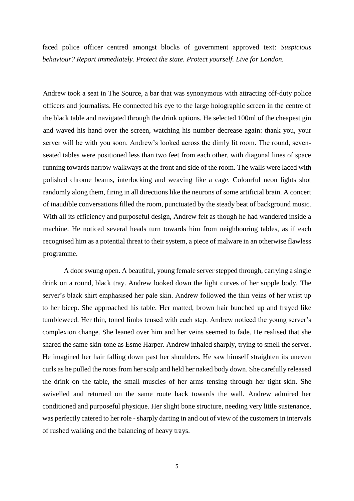faced police officer centred amongst blocks of government approved text: *Suspicious behaviour? Report immediately. Protect the state. Protect yourself. Live for London.* 

Andrew took a seat in The Source, a bar that was synonymous with attracting off-duty police officers and journalists. He connected his eye to the large holographic screen in the centre of the black table and navigated through the drink options. He selected 100ml of the cheapest gin and waved his hand over the screen, watching his number decrease again: thank you, your server will be with you soon. Andrew's looked across the dimly lit room. The round, sevenseated tables were positioned less than two feet from each other, with diagonal lines of space running towards narrow walkways at the front and side of the room. The walls were laced with polished chrome beams, interlocking and weaving like a cage. Colourful neon lights shot randomly along them, firing in all directions like the neurons of some artificial brain. A concert of inaudible conversations filled the room, punctuated by the steady beat of background music. With all its efficiency and purposeful design, Andrew felt as though he had wandered inside a machine. He noticed several heads turn towards him from neighbouring tables, as if each recognised him as a potential threat to their system, a piece of malware in an otherwise flawless programme.

A door swung open. A beautiful, young female server stepped through, carrying a single drink on a round, black tray. Andrew looked down the light curves of her supple body. The server's black shirt emphasised her pale skin. Andrew followed the thin veins of her wrist up to her bicep. She approached his table. Her matted, brown hair bunched up and frayed like tumbleweed. Her thin, toned limbs tensed with each step. Andrew noticed the young server's complexion change. She leaned over him and her veins seemed to fade. He realised that she shared the same skin-tone as Esme Harper. Andrew inhaled sharply, trying to smell the server. He imagined her hair falling down past her shoulders. He saw himself straighten its uneven curls as he pulled the roots from her scalp and held her naked body down. She carefully released the drink on the table, the small muscles of her arms tensing through her tight skin. She swivelled and returned on the same route back towards the wall. Andrew admired her conditioned and purposeful physique. Her slight bone structure, needing very little sustenance, was perfectly catered to her role - sharply darting in and out of view of the customers in intervals of rushed walking and the balancing of heavy trays.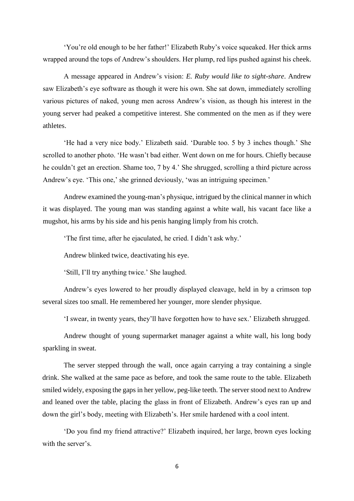'You're old enough to be her father!' Elizabeth Ruby's voice squeaked. Her thick arms wrapped around the tops of Andrew's shoulders. Her plump, red lips pushed against his cheek.

A message appeared in Andrew's vision: *E. Ruby would like to sight-share*. Andrew saw Elizabeth's eye software as though it were his own. She sat down, immediately scrolling various pictures of naked, young men across Andrew's vision, as though his interest in the young server had peaked a competitive interest. She commented on the men as if they were athletes.

'He had a very nice body.' Elizabeth said. 'Durable too. 5 by 3 inches though.' She scrolled to another photo. 'He wasn't bad either. Went down on me for hours. Chiefly because he couldn't get an erection. Shame too, 7 by 4.' She shrugged, scrolling a third picture across Andrew's eye. 'This one,' she grinned deviously, 'was an intriguing specimen.'

Andrew examined the young-man's physique, intrigued by the clinical manner in which it was displayed. The young man was standing against a white wall, his vacant face like a mugshot, his arms by his side and his penis hanging limply from his crotch.

'The first time, after he ejaculated, he cried. I didn't ask why.'

Andrew blinked twice, deactivating his eye.

'Still, I'll try anything twice.' She laughed.

Andrew's eyes lowered to her proudly displayed cleavage, held in by a crimson top several sizes too small. He remembered her younger, more slender physique.

'I swear, in twenty years, they'll have forgotten how to have sex.' Elizabeth shrugged.

Andrew thought of young supermarket manager against a white wall, his long body sparkling in sweat.

The server stepped through the wall, once again carrying a tray containing a single drink. She walked at the same pace as before, and took the same route to the table. Elizabeth smiled widely, exposing the gaps in her yellow, peg-like teeth. The server stood next to Andrew and leaned over the table, placing the glass in front of Elizabeth. Andrew's eyes ran up and down the girl's body, meeting with Elizabeth's. Her smile hardened with a cool intent.

'Do you find my friend attractive?' Elizabeth inquired, her large, brown eyes locking with the server's.

6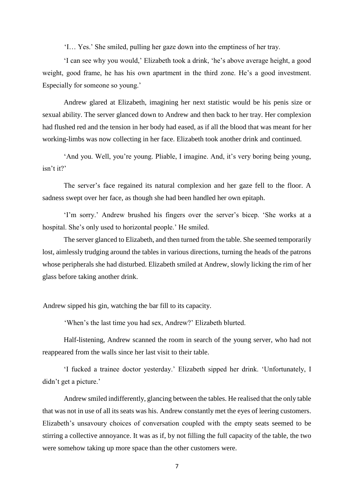'I… Yes.' She smiled, pulling her gaze down into the emptiness of her tray.

'I can see why you would,' Elizabeth took a drink, 'he's above average height, a good weight, good frame, he has his own apartment in the third zone. He's a good investment. Especially for someone so young.'

Andrew glared at Elizabeth, imagining her next statistic would be his penis size or sexual ability. The server glanced down to Andrew and then back to her tray. Her complexion had flushed red and the tension in her body had eased, as if all the blood that was meant for her working-limbs was now collecting in her face. Elizabeth took another drink and continued.

'And you. Well, you're young. Pliable, I imagine. And, it's very boring being young, isn't it?'

The server's face regained its natural complexion and her gaze fell to the floor. A sadness swept over her face, as though she had been handled her own epitaph.

'I'm sorry.' Andrew brushed his fingers over the server's bicep. 'She works at a hospital. She's only used to horizontal people.' He smiled.

The server glanced to Elizabeth, and then turned from the table. She seemed temporarily lost, aimlessly trudging around the tables in various directions, turning the heads of the patrons whose peripherals she had disturbed. Elizabeth smiled at Andrew, slowly licking the rim of her glass before taking another drink.

Andrew sipped his gin, watching the bar fill to its capacity.

'When's the last time you had sex, Andrew?' Elizabeth blurted.

Half-listening, Andrew scanned the room in search of the young server, who had not reappeared from the walls since her last visit to their table.

'I fucked a trainee doctor yesterday.' Elizabeth sipped her drink. 'Unfortunately, I didn't get a picture.'

Andrew smiled indifferently, glancing between the tables. He realised that the only table that was not in use of all its seats was his. Andrew constantly met the eyes of leering customers. Elizabeth's unsavoury choices of conversation coupled with the empty seats seemed to be stirring a collective annoyance. It was as if, by not filling the full capacity of the table, the two were somehow taking up more space than the other customers were.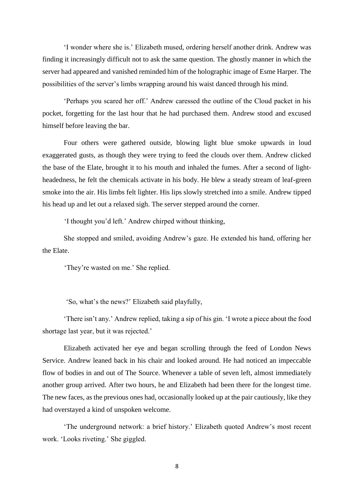'I wonder where she is.' Elizabeth mused, ordering herself another drink. Andrew was finding it increasingly difficult not to ask the same question. The ghostly manner in which the server had appeared and vanished reminded him of the holographic image of Esme Harper. The possibilities of the server's limbs wrapping around his waist danced through his mind.

'Perhaps you scared her off.' Andrew caressed the outline of the Cloud packet in his pocket, forgetting for the last hour that he had purchased them. Andrew stood and excused himself before leaving the bar.

Four others were gathered outside, blowing light blue smoke upwards in loud exaggerated gusts, as though they were trying to feed the clouds over them. Andrew clicked the base of the Elate, brought it to his mouth and inhaled the fumes. After a second of lightheadedness, he felt the chemicals activate in his body. He blew a steady stream of leaf-green smoke into the air. His limbs felt lighter. His lips slowly stretched into a smile. Andrew tipped his head up and let out a relaxed sigh. The server stepped around the corner.

'I thought you'd left.' Andrew chirped without thinking,

She stopped and smiled, avoiding Andrew's gaze. He extended his hand, offering her the Elate.

'They're wasted on me.' She replied.

'So, what's the news?' Elizabeth said playfully,

'There isn't any.' Andrew replied, taking a sip of his gin. 'I wrote a piece about the food shortage last year, but it was rejected.'

Elizabeth activated her eye and began scrolling through the feed of London News Service. Andrew leaned back in his chair and looked around. He had noticed an impeccable flow of bodies in and out of The Source. Whenever a table of seven left, almost immediately another group arrived. After two hours, he and Elizabeth had been there for the longest time. The new faces, as the previous ones had, occasionally looked up at the pair cautiously, like they had overstayed a kind of unspoken welcome.

'The underground network: a brief history.' Elizabeth quoted Andrew's most recent work. 'Looks riveting.' She giggled.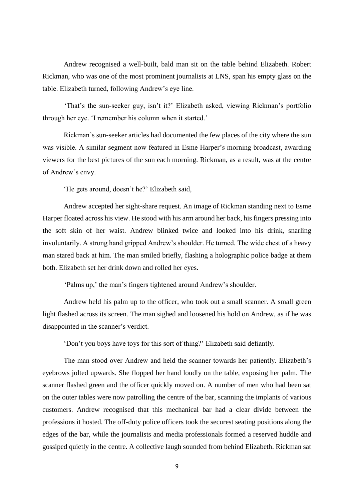Andrew recognised a well-built, bald man sit on the table behind Elizabeth. Robert Rickman, who was one of the most prominent journalists at LNS, span his empty glass on the table. Elizabeth turned, following Andrew's eye line.

'That's the sun-seeker guy, isn't it?' Elizabeth asked, viewing Rickman's portfolio through her eye. 'I remember his column when it started.'

Rickman's sun-seeker articles had documented the few places of the city where the sun was visible. A similar segment now featured in Esme Harper's morning broadcast, awarding viewers for the best pictures of the sun each morning. Rickman, as a result, was at the centre of Andrew's envy.

'He gets around, doesn't he?' Elizabeth said,

Andrew accepted her sight-share request. An image of Rickman standing next to Esme Harper floated across his view. He stood with his arm around her back, his fingers pressing into the soft skin of her waist. Andrew blinked twice and looked into his drink, snarling involuntarily. A strong hand gripped Andrew's shoulder. He turned. The wide chest of a heavy man stared back at him. The man smiled briefly, flashing a holographic police badge at them both. Elizabeth set her drink down and rolled her eyes.

'Palms up,' the man's fingers tightened around Andrew's shoulder.

Andrew held his palm up to the officer, who took out a small scanner. A small green light flashed across its screen. The man sighed and loosened his hold on Andrew, as if he was disappointed in the scanner's verdict.

'Don't you boys have toys for this sort of thing?' Elizabeth said defiantly.

The man stood over Andrew and held the scanner towards her patiently. Elizabeth's eyebrows jolted upwards. She flopped her hand loudly on the table, exposing her palm. The scanner flashed green and the officer quickly moved on. A number of men who had been sat on the outer tables were now patrolling the centre of the bar, scanning the implants of various customers. Andrew recognised that this mechanical bar had a clear divide between the professions it hosted. The off-duty police officers took the securest seating positions along the edges of the bar, while the journalists and media professionals formed a reserved huddle and gossiped quietly in the centre. A collective laugh sounded from behind Elizabeth. Rickman sat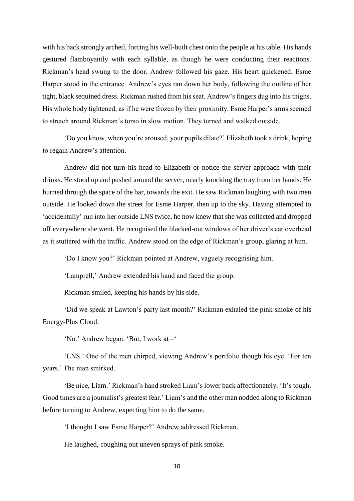with his back strongly arched, forcing his well-built chest onto the people at his table. His hands gestured flamboyantly with each syllable, as though he were conducting their reactions. Rickman's head swung to the door. Andrew followed his gaze. His heart quickened. Esme Harper stood in the entrance. Andrew's eyes ran down her body, following the outline of her tight, black sequined dress. Rickman rushed from his seat. Andrew's fingers dug into his thighs. His whole body tightened, as if he were frozen by their proximity. Esme Harper's arms seemed to stretch around Rickman's torso in slow motion. They turned and walked outside.

'Do you know, when you're aroused, your pupils dilate?' Elizabeth took a drink, hoping to regain Andrew's attention.

Andrew did not turn his head to Elizabeth or notice the server approach with their drinks. He stood up and pushed around the server, nearly knocking the tray from her hands. He hurried through the space of the bar, towards the exit. He saw Rickman laughing with two men outside. He looked down the street for Esme Harper, then up to the sky. Having attempted to 'accidentally' run into her outside LNS twice, he now knew that she was collected and dropped off everywhere she went. He recognised the blacked-out windows of her driver's car overhead as it stuttered with the traffic. Andrew stood on the edge of Rickman's group, glaring at him.

'Do I know you?' Rickman pointed at Andrew, vaguely recognising him.

'Lamprell,' Andrew extended his hand and faced the group.

Rickman smiled, keeping his hands by his side.

'Did we speak at Lawton's party last month?' Rickman exhaled the pink smoke of his Energy-Plus Cloud.

'No.' Andrew began. 'But, I work at –'

'LNS.' One of the men chirped, viewing Andrew's portfolio though his eye. 'For ten years.' The man smirked.

'Be nice, Liam.' Rickman's hand stroked Liam's lower back affectionately. 'It's tough. Good times are a journalist's greatest fear.' Liam's and the other man nodded along to Rickman before turning to Andrew, expecting him to do the same.

'I thought I saw Esme Harper?' Andrew addressed Rickman.

He laughed, coughing out uneven sprays of pink smoke.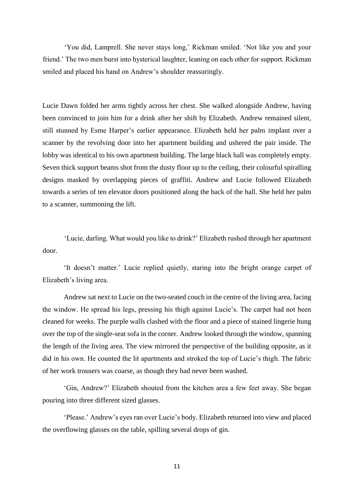'You did, Lamprell. She never stays long,' Rickman smiled. 'Not like you and your friend.' The two men burst into hysterical laughter, leaning on each other for support. Rickman smiled and placed his hand on Andrew's shoulder reassuringly.

Lucie Dawn folded her arms tightly across her chest. She walked alongside Andrew, having been convinced to join him for a drink after her shift by Elizabeth. Andrew remained silent, still stunned by Esme Harper's earlier appearance. Elizabeth held her palm implant over a scanner by the revolving door into her apartment building and ushered the pair inside. The lobby was identical to his own apartment building. The large black hall was completely empty. Seven thick support beams shot from the dusty floor up to the ceiling, their colourful spiralling designs masked by overlapping pieces of graffiti. Andrew and Lucie followed Elizabeth towards a series of ten elevator doors positioned along the back of the hall. She held her palm to a scanner, summoning the lift.

'Lucie, darling. What would you like to drink?' Elizabeth rushed through her apartment door.

'It doesn't matter.' Lucie replied quietly, staring into the bright orange carpet of Elizabeth's living area.

Andrew sat next to Lucie on the two-seated couch in the centre of the living area, facing the window. He spread his legs, pressing his thigh against Lucie's. The carpet had not been cleaned for weeks. The purple walls clashed with the floor and a piece of stained lingerie hung over the top of the single-seat sofa in the corner. Andrew looked through the window, spanning the length of the living area. The view mirrored the perspective of the building opposite, as it did in his own. He counted the lit apartments and stroked the top of Lucie's thigh. The fabric of her work trousers was coarse, as though they had never been washed.

'Gin, Andrew?' Elizabeth shouted from the kitchen area a few feet away. She began pouring into three different sized glasses.

'Please.' Andrew's eyes ran over Lucie's body. Elizabeth returned into view and placed the overflowing glasses on the table, spilling several drops of gin.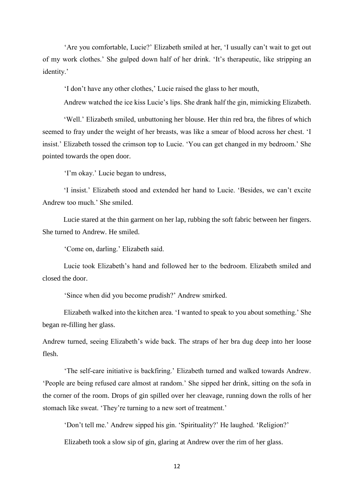'Are you comfortable, Lucie?' Elizabeth smiled at her, 'I usually can't wait to get out of my work clothes.' She gulped down half of her drink. 'It's therapeutic, like stripping an identity.'

'I don't have any other clothes,' Lucie raised the glass to her mouth,

Andrew watched the ice kiss Lucie's lips. She drank half the gin, mimicking Elizabeth.

'Well.' Elizabeth smiled, unbuttoning her blouse. Her thin red bra, the fibres of which seemed to fray under the weight of her breasts, was like a smear of blood across her chest. 'I insist.' Elizabeth tossed the crimson top to Lucie. 'You can get changed in my bedroom.' She pointed towards the open door.

'I'm okay.' Lucie began to undress,

'I insist.' Elizabeth stood and extended her hand to Lucie. 'Besides, we can't excite Andrew too much.' She smiled.

Lucie stared at the thin garment on her lap, rubbing the soft fabric between her fingers. She turned to Andrew. He smiled.

'Come on, darling.' Elizabeth said.

Lucie took Elizabeth's hand and followed her to the bedroom. Elizabeth smiled and closed the door.

'Since when did you become prudish?' Andrew smirked.

Elizabeth walked into the kitchen area. 'I wanted to speak to you about something.' She began re-filling her glass.

Andrew turned, seeing Elizabeth's wide back. The straps of her bra dug deep into her loose flesh.

'The self-care initiative is backfiring.' Elizabeth turned and walked towards Andrew. 'People are being refused care almost at random.' She sipped her drink, sitting on the sofa in the corner of the room. Drops of gin spilled over her cleavage, running down the rolls of her stomach like sweat. 'They're turning to a new sort of treatment.'

'Don't tell me.' Andrew sipped his gin. 'Spirituality?' He laughed. 'Religion?'

Elizabeth took a slow sip of gin, glaring at Andrew over the rim of her glass.

12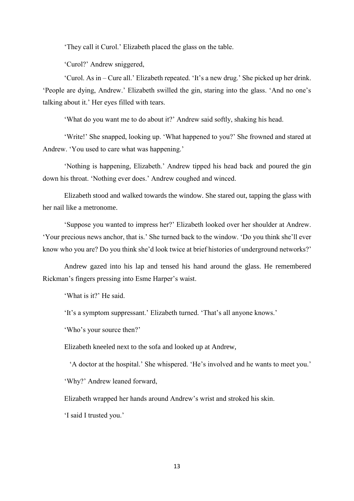'They call it Curol.' Elizabeth placed the glass on the table.

'Curol?' Andrew sniggered,

'Curol. As in – Cure all.' Elizabeth repeated. 'It's a new drug.' She picked up her drink. 'People are dying, Andrew.' Elizabeth swilled the gin, staring into the glass. 'And no one's talking about it.' Her eyes filled with tears.

'What do you want me to do about it?' Andrew said softly, shaking his head.

'Write!' She snapped, looking up. 'What happened to you?' She frowned and stared at Andrew. 'You used to care what was happening.'

'Nothing is happening, Elizabeth.' Andrew tipped his head back and poured the gin down his throat. 'Nothing ever does.' Andrew coughed and winced.

Elizabeth stood and walked towards the window. She stared out, tapping the glass with her nail like a metronome.

'Suppose you wanted to impress her?' Elizabeth looked over her shoulder at Andrew. 'Your precious news anchor, that is.' She turned back to the window. 'Do you think she'll ever know who you are? Do you think she'd look twice at brief histories of underground networks?'

Andrew gazed into his lap and tensed his hand around the glass. He remembered Rickman's fingers pressing into Esme Harper's waist.

'What is it?' He said.

'It's a symptom suppressant.' Elizabeth turned. 'That's all anyone knows.'

'Who's your source then?'

Elizabeth kneeled next to the sofa and looked up at Andrew,

'A doctor at the hospital.' She whispered. 'He's involved and he wants to meet you.'

'Why?' Andrew leaned forward,

Elizabeth wrapped her hands around Andrew's wrist and stroked his skin.

'I said I trusted you.'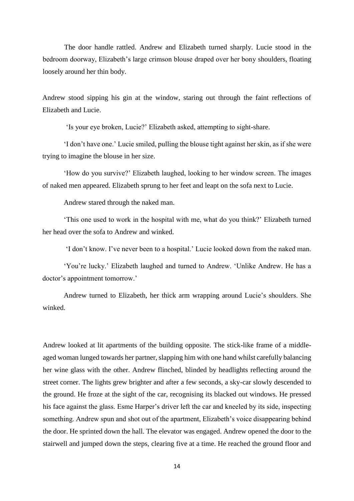The door handle rattled. Andrew and Elizabeth turned sharply. Lucie stood in the bedroom doorway, Elizabeth's large crimson blouse draped over her bony shoulders, floating loosely around her thin body.

Andrew stood sipping his gin at the window, staring out through the faint reflections of Elizabeth and Lucie.

'Is your eye broken, Lucie?' Elizabeth asked, attempting to sight-share.

'I don't have one.' Lucie smiled, pulling the blouse tight against her skin, as if she were trying to imagine the blouse in her size.

'How do you survive?' Elizabeth laughed, looking to her window screen. The images of naked men appeared. Elizabeth sprung to her feet and leapt on the sofa next to Lucie.

Andrew stared through the naked man.

'This one used to work in the hospital with me, what do you think?' Elizabeth turned her head over the sofa to Andrew and winked.

'I don't know. I've never been to a hospital.' Lucie looked down from the naked man.

'You're lucky.' Elizabeth laughed and turned to Andrew. 'Unlike Andrew. He has a doctor's appointment tomorrow.'

Andrew turned to Elizabeth, her thick arm wrapping around Lucie's shoulders. She winked.

Andrew looked at lit apartments of the building opposite. The stick-like frame of a middleaged woman lunged towards her partner, slapping him with one hand whilst carefully balancing her wine glass with the other. Andrew flinched, blinded by headlights reflecting around the street corner. The lights grew brighter and after a few seconds, a sky-car slowly descended to the ground. He froze at the sight of the car, recognising its blacked out windows. He pressed his face against the glass. Esme Harper's driver left the car and kneeled by its side, inspecting something. Andrew spun and shot out of the apartment, Elizabeth's voice disappearing behind the door. He sprinted down the hall. The elevator was engaged. Andrew opened the door to the stairwell and jumped down the steps, clearing five at a time. He reached the ground floor and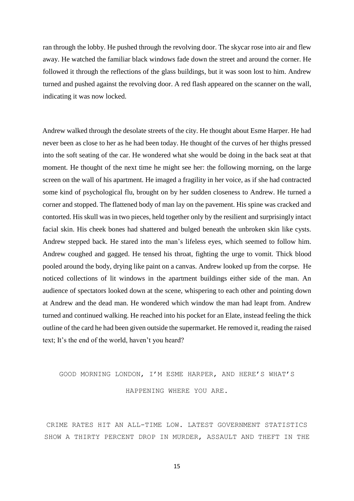ran through the lobby. He pushed through the revolving door. The skycar rose into air and flew away. He watched the familiar black windows fade down the street and around the corner. He followed it through the reflections of the glass buildings, but it was soon lost to him. Andrew turned and pushed against the revolving door. A red flash appeared on the scanner on the wall, indicating it was now locked.

Andrew walked through the desolate streets of the city. He thought about Esme Harper. He had never been as close to her as he had been today. He thought of the curves of her thighs pressed into the soft seating of the car. He wondered what she would be doing in the back seat at that moment. He thought of the next time he might see her: the following morning, on the large screen on the wall of his apartment. He imaged a fragility in her voice, as if she had contracted some kind of psychological flu, brought on by her sudden closeness to Andrew. He turned a corner and stopped. The flattened body of man lay on the pavement. His spine was cracked and contorted. His skull was in two pieces, held together only by the resilient and surprisingly intact facial skin. His cheek bones had shattered and bulged beneath the unbroken skin like cysts. Andrew stepped back. He stared into the man's lifeless eyes, which seemed to follow him. Andrew coughed and gagged. He tensed his throat, fighting the urge to vomit. Thick blood pooled around the body, drying like paint on a canvas. Andrew looked up from the corpse. He noticed collections of lit windows in the apartment buildings either side of the man. An audience of spectators looked down at the scene, whispering to each other and pointing down at Andrew and the dead man. He wondered which window the man had leapt from. Andrew turned and continued walking. He reached into his pocket for an Elate, instead feeling the thick outline of the card he had been given outside the supermarket. He removed it, reading the raised text; It's the end of the world, haven't you heard?

# GOOD MORNING LONDON, I'M ESME HARPER, AND HERE'S WHAT'S HAPPENING WHERE YOU ARE.

CRIME RATES HIT AN ALL-TIME LOW. LATEST GOVERNMENT STATISTICS SHOW A THIRTY PERCENT DROP IN MURDER, ASSAULT AND THEFT IN THE

15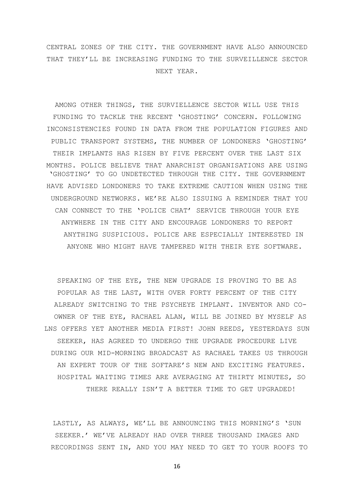CENTRAL ZONES OF THE CITY. THE GOVERNMENT HAVE ALSO ANNOUNCED THAT THEY'LL BE INCREASING FUNDING TO THE SURVEILLENCE SECTOR NEXT YEAR.

AMONG OTHER THINGS, THE SURVIELLENCE SECTOR WILL USE THIS FUNDING TO TACKLE THE RECENT 'GHOSTING' CONCERN. FOLLOWING INCONSISTENCIES FOUND IN DATA FROM THE POPULATION FIGURES AND PUBLIC TRANSPORT SYSTEMS, THE NUMBER OF LONDONERS 'GHOSTING' THEIR IMPLANTS HAS RISEN BY FIVE PERCENT OVER THE LAST SIX MONTHS. POLICE BELIEVE THAT ANARCHIST ORGANISATIONS ARE USING 'GHOSTING' TO GO UNDETECTED THROUGH THE CITY. THE GOVERNMENT HAVE ADVISED LONDONERS TO TAKE EXTREME CAUTION WHEN USING THE UNDERGROUND NETWORKS. WE'RE ALSO ISSUING A REMINDER THAT YOU CAN CONNECT TO THE 'POLICE CHAT' SERVICE THROUGH YOUR EYE ANYWHERE IN THE CITY AND ENCOURAGE LONDONERS TO REPORT ANYTHING SUSPICIOUS. POLICE ARE ESPECIALLY INTERESTED IN ANYONE WHO MIGHT HAVE TAMPERED WITH THEIR EYE SOFTWARE.

SPEAKING OF THE EYE, THE NEW UPGRADE IS PROVING TO BE AS POPULAR AS THE LAST, WITH OVER FORTY PERCENT OF THE CITY ALREADY SWITCHING TO THE PSYCHEYE IMPLANT. INVENTOR AND CO-OWNER OF THE EYE, RACHAEL ALAN, WILL BE JOINED BY MYSELF AS LNS OFFERS YET ANOTHER MEDIA FIRST! JOHN REEDS, YESTERDAYS SUN SEEKER, HAS AGREED TO UNDERGO THE UPGRADE PROCEDURE LIVE DURING OUR MID-MORNING BROADCAST AS RACHAEL TAKES US THROUGH AN EXPERT TOUR OF THE SOFTARE'S NEW AND EXCITING FEATURES. HOSPITAL WAITING TIMES ARE AVERAGING AT THIRTY MINUTES, SO THERE REALLY ISN'T A BETTER TIME TO GET UPGRADED!

LASTLY, AS ALWAYS, WE'LL BE ANNOUNCING THIS MORNING'S 'SUN SEEKER.' WE'VE ALREADY HAD OVER THREE THOUSAND IMAGES AND RECORDINGS SENT IN, AND YOU MAY NEED TO GET TO YOUR ROOFS TO

16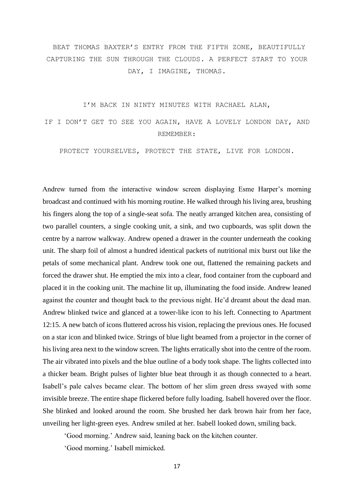BEAT THOMAS BAXTER'S ENTRY FROM THE FIFTH ZONE, BEAUTIFULLY CAPTURING THE SUN THROUGH THE CLOUDS. A PERFECT START TO YOUR DAY, I IMAGINE, THOMAS.

I'M BACK IN NINTY MINUTES WITH RACHAEL ALAN,

IF I DON'T GET TO SEE YOU AGAIN, HAVE A LOVELY LONDON DAY, AND REMEMBER:

PROTECT YOURSELVES, PROTECT THE STATE, LIVE FOR LONDON.

Andrew turned from the interactive window screen displaying Esme Harper's morning broadcast and continued with his morning routine. He walked through his living area, brushing his fingers along the top of a single-seat sofa. The neatly arranged kitchen area, consisting of two parallel counters, a single cooking unit, a sink, and two cupboards, was split down the centre by a narrow walkway. Andrew opened a drawer in the counter underneath the cooking unit. The sharp foil of almost a hundred identical packets of nutritional mix burst out like the petals of some mechanical plant. Andrew took one out, flattened the remaining packets and forced the drawer shut. He emptied the mix into a clear, food container from the cupboard and placed it in the cooking unit. The machine lit up, illuminating the food inside. Andrew leaned against the counter and thought back to the previous night. He'd dreamt about the dead man. Andrew blinked twice and glanced at a tower-like icon to his left. Connecting to Apartment 12:15. A new batch of icons fluttered across his vision, replacing the previous ones. He focused on a star icon and blinked twice. Strings of blue light beamed from a projector in the corner of his living area next to the window screen. The lights erratically shot into the centre of the room. The air vibrated into pixels and the blue outline of a body took shape. The lights collected into a thicker beam. Bright pulses of lighter blue beat through it as though connected to a heart. Isabell's pale calves became clear. The bottom of her slim green dress swayed with some invisible breeze. The entire shape flickered before fully loading. Isabell hovered over the floor. She blinked and looked around the room. She brushed her dark brown hair from her face, unveiling her light-green eyes. Andrew smiled at her. Isabell looked down, smiling back.

'Good morning.' Andrew said, leaning back on the kitchen counter.

'Good morning.' Isabell mimicked.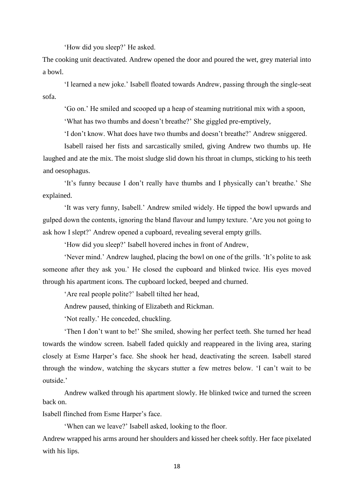'How did you sleep?' He asked.

The cooking unit deactivated. Andrew opened the door and poured the wet, grey material into a bowl.

'I learned a new joke.' Isabell floated towards Andrew, passing through the single-seat sofa.

'Go on.' He smiled and scooped up a heap of steaming nutritional mix with a spoon,

'What has two thumbs and doesn't breathe?' She giggled pre-emptively,

'I don't know. What does have two thumbs and doesn't breathe?' Andrew sniggered.

Isabell raised her fists and sarcastically smiled, giving Andrew two thumbs up. He laughed and ate the mix. The moist sludge slid down his throat in clumps, sticking to his teeth and oesophagus.

'It's funny because I don't really have thumbs and I physically can't breathe.' She explained.

'It was very funny, Isabell.' Andrew smiled widely. He tipped the bowl upwards and gulped down the contents, ignoring the bland flavour and lumpy texture. 'Are you not going to ask how I slept?' Andrew opened a cupboard, revealing several empty grills.

'How did you sleep?' Isabell hovered inches in front of Andrew,

'Never mind.' Andrew laughed, placing the bowl on one of the grills. 'It's polite to ask someone after they ask you.' He closed the cupboard and blinked twice. His eyes moved through his apartment icons. The cupboard locked, beeped and churned.

'Are real people polite?' Isabell tilted her head,

Andrew paused, thinking of Elizabeth and Rickman.

'Not really.' He conceded, chuckling.

'Then I don't want to be!' She smiled, showing her perfect teeth. She turned her head towards the window screen. Isabell faded quickly and reappeared in the living area, staring closely at Esme Harper's face. She shook her head, deactivating the screen. Isabell stared through the window, watching the skycars stutter a few metres below. 'I can't wait to be outside.'

Andrew walked through his apartment slowly. He blinked twice and turned the screen back on.

Isabell flinched from Esme Harper's face.

'When can we leave?' Isabell asked, looking to the floor.

Andrew wrapped his arms around her shoulders and kissed her cheek softly. Her face pixelated with his lips.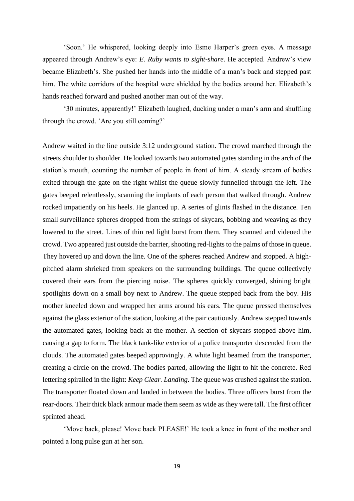'Soon.' He whispered, looking deeply into Esme Harper's green eyes. A message appeared through Andrew's eye: *E. Ruby wants to sight-share*. He accepted. Andrew's view became Elizabeth's. She pushed her hands into the middle of a man's back and stepped past him. The white corridors of the hospital were shielded by the bodies around her. Elizabeth's hands reached forward and pushed another man out of the way.

'30 minutes, apparently!' Elizabeth laughed, ducking under a man's arm and shuffling through the crowd. 'Are you still coming?'

Andrew waited in the line outside 3:12 underground station. The crowd marched through the streets shoulder to shoulder. He looked towards two automated gates standing in the arch of the station's mouth, counting the number of people in front of him. A steady stream of bodies exited through the gate on the right whilst the queue slowly funnelled through the left. The gates beeped relentlessly, scanning the implants of each person that walked through. Andrew rocked impatiently on his heels. He glanced up. A series of glints flashed in the distance. Ten small surveillance spheres dropped from the strings of skycars, bobbing and weaving as they lowered to the street. Lines of thin red light burst from them. They scanned and videoed the crowd. Two appeared just outside the barrier, shooting red-lights to the palms of those in queue. They hovered up and down the line. One of the spheres reached Andrew and stopped. A highpitched alarm shrieked from speakers on the surrounding buildings. The queue collectively covered their ears from the piercing noise. The spheres quickly converged, shining bright spotlights down on a small boy next to Andrew. The queue stepped back from the boy. His mother kneeled down and wrapped her arms around his ears. The queue pressed themselves against the glass exterior of the station, looking at the pair cautiously. Andrew stepped towards the automated gates, looking back at the mother. A section of skycars stopped above him, causing a gap to form. The black tank-like exterior of a police transporter descended from the clouds. The automated gates beeped approvingly. A white light beamed from the transporter, creating a circle on the crowd. The bodies parted, allowing the light to hit the concrete. Red lettering spiralled in the light: *Keep Clear. Landing*. The queue was crushed against the station. The transporter floated down and landed in between the bodies. Three officers burst from the rear-doors. Their thick black armour made them seem as wide as they were tall. The first officer sprinted ahead.

'Move back, please! Move back PLEASE!' He took a knee in front of the mother and pointed a long pulse gun at her son.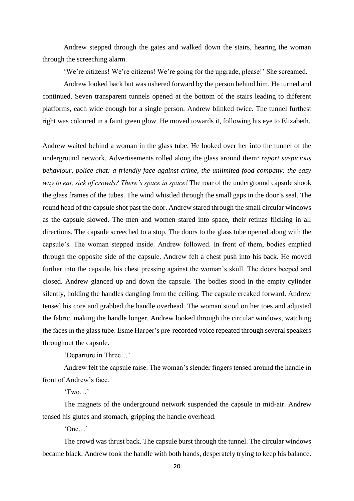Andrew stepped through the gates and walked down the stairs, hearing the woman through the screeching alarm.

'We're citizens! We're citizens! We're going for the upgrade, please!' She screamed.

Andrew looked back but was ushered forward by the person behind him. He turned and continued. Seven transparent tunnels opened at the bottom of the stairs leading to different platforms, each wide enough for a single person. Andrew blinked twice. The tunnel furthest right was coloured in a faint green glow. He moved towards it, following his eye to Elizabeth.

Andrew waited behind a woman in the glass tube. He looked over her into the tunnel of the underground network. Advertisements rolled along the glass around them: *report suspicious behaviour, police chat: a friendly face against crime, the unlimited food company: the easy way to eat, sick of crowds? There's space in space!* The roar of the underground capsule shook the glass frames of the tubes. The wind whistled through the small gaps in the door's seal. The round head of the capsule shot past the door. Andrew stared through the small circular windows as the capsule slowed. The men and women stared into space, their retinas flicking in all directions. The capsule screeched to a stop. The doors to the glass tube opened along with the capsule's. The woman stepped inside. Andrew followed. In front of them, bodies emptied through the opposite side of the capsule. Andrew felt a chest push into his back. He moved further into the capsule, his chest pressing against the woman's skull. The doors beeped and closed. Andrew glanced up and down the capsule. The bodies stood in the empty cylinder silently, holding the handles dangling from the ceiling. The capsule creaked forward. Andrew tensed his core and grabbed the handle overhead. The woman stood on her toes and adjusted the fabric, making the handle longer. Andrew looked through the circular windows, watching the faces in the glass tube. Esme Harper's pre-recorded voice repeated through several speakers throughout the capsule.

'Departure in Three…'

Andrew felt the capsule raise. The woman's slender fingers tensed around the handle in front of Andrew's face.

'Two…'

The magnets of the underground network suspended the capsule in mid-air. Andrew tensed his glutes and stomach, gripping the handle overhead.

'One…'

The crowd was thrust back. The capsule burst through the tunnel. The circular windows became black. Andrew took the handle with both hands, desperately trying to keep his balance.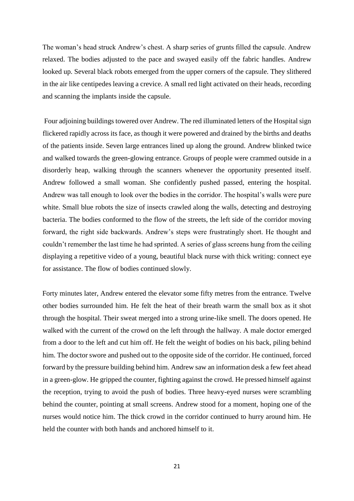The woman's head struck Andrew's chest. A sharp series of grunts filled the capsule. Andrew relaxed. The bodies adjusted to the pace and swayed easily off the fabric handles. Andrew looked up. Several black robots emerged from the upper corners of the capsule. They slithered in the air like centipedes leaving a crevice. A small red light activated on their heads, recording and scanning the implants inside the capsule.

Four adjoining buildings towered over Andrew. The red illuminated letters of the Hospital sign flickered rapidly across its face, as though it were powered and drained by the births and deaths of the patients inside. Seven large entrances lined up along the ground. Andrew blinked twice and walked towards the green-glowing entrance. Groups of people were crammed outside in a disorderly heap, walking through the scanners whenever the opportunity presented itself. Andrew followed a small woman. She confidently pushed passed, entering the hospital. Andrew was tall enough to look over the bodies in the corridor. The hospital's walls were pure white. Small blue robots the size of insects crawled along the walls, detecting and destroying bacteria. The bodies conformed to the flow of the streets, the left side of the corridor moving forward, the right side backwards. Andrew's steps were frustratingly short. He thought and couldn't remember the last time he had sprinted. A series of glass screens hung from the ceiling displaying a repetitive video of a young, beautiful black nurse with thick writing: connect eye for assistance. The flow of bodies continued slowly.

Forty minutes later, Andrew entered the elevator some fifty metres from the entrance. Twelve other bodies surrounded him. He felt the heat of their breath warm the small box as it shot through the hospital. Their sweat merged into a strong urine-like smell. The doors opened. He walked with the current of the crowd on the left through the hallway. A male doctor emerged from a door to the left and cut him off. He felt the weight of bodies on his back, piling behind him. The doctor swore and pushed out to the opposite side of the corridor. He continued, forced forward by the pressure building behind him. Andrew saw an information desk a few feet ahead in a green-glow. He gripped the counter, fighting against the crowd. He pressed himself against the reception, trying to avoid the push of bodies. Three heavy-eyed nurses were scrambling behind the counter, pointing at small screens. Andrew stood for a moment, hoping one of the nurses would notice him. The thick crowd in the corridor continued to hurry around him. He held the counter with both hands and anchored himself to it.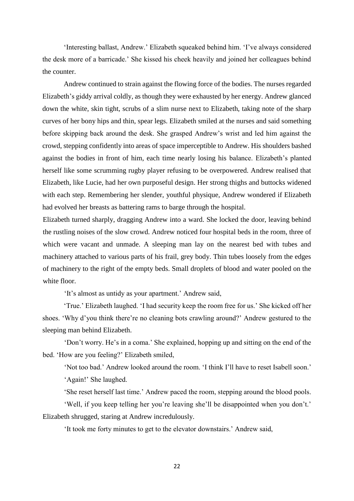'Interesting ballast, Andrew.' Elizabeth squeaked behind him. 'I've always considered the desk more of a barricade.' She kissed his cheek heavily and joined her colleagues behind the counter.

Andrew continued to strain against the flowing force of the bodies. The nurses regarded Elizabeth's giddy arrival coldly, as though they were exhausted by her energy. Andrew glanced down the white, skin tight, scrubs of a slim nurse next to Elizabeth, taking note of the sharp curves of her bony hips and thin, spear legs. Elizabeth smiled at the nurses and said something before skipping back around the desk. She grasped Andrew's wrist and led him against the crowd, stepping confidently into areas of space imperceptible to Andrew. His shoulders bashed against the bodies in front of him, each time nearly losing his balance. Elizabeth's planted herself like some scrumming rugby player refusing to be overpowered. Andrew realised that Elizabeth, like Lucie, had her own purposeful design. Her strong thighs and buttocks widened with each step. Remembering her slender, youthful physique, Andrew wondered if Elizabeth had evolved her breasts as battering rams to barge through the hospital.

Elizabeth turned sharply, dragging Andrew into a ward. She locked the door, leaving behind the rustling noises of the slow crowd. Andrew noticed four hospital beds in the room, three of which were vacant and unmade. A sleeping man lay on the nearest bed with tubes and machinery attached to various parts of his frail, grey body. Thin tubes loosely from the edges of machinery to the right of the empty beds. Small droplets of blood and water pooled on the white floor.

'It's almost as untidy as your apartment.' Andrew said,

'True.' Elizabeth laughed. 'I had security keep the room free for us.' She kicked off her shoes. 'Why d'you think there're no cleaning bots crawling around?' Andrew gestured to the sleeping man behind Elizabeth.

'Don't worry. He's in a coma.' She explained, hopping up and sitting on the end of the bed. 'How are you feeling?' Elizabeth smiled,

'Not too bad.' Andrew looked around the room. 'I think I'll have to reset Isabell soon.'

'Again!' She laughed.

'She reset herself last time.' Andrew paced the room, stepping around the blood pools.

'Well, if you keep telling her you're leaving she'll be disappointed when you don't.' Elizabeth shrugged, staring at Andrew incredulously.

'It took me forty minutes to get to the elevator downstairs.' Andrew said,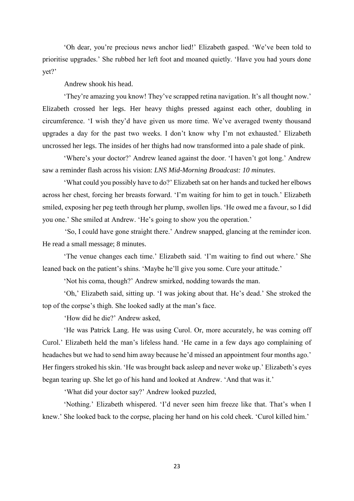'Oh dear, you're precious news anchor lied!' Elizabeth gasped. 'We've been told to prioritise upgrades.' She rubbed her left foot and moaned quietly. 'Have you had yours done yet?'

Andrew shook his head.

'They're amazing you know! They've scrapped retina navigation. It's all thought now.' Elizabeth crossed her legs. Her heavy thighs pressed against each other, doubling in circumference. 'I wish they'd have given us more time. We've averaged twenty thousand upgrades a day for the past two weeks. I don't know why I'm not exhausted.' Elizabeth uncrossed her legs. The insides of her thighs had now transformed into a pale shade of pink.

'Where's your doctor?' Andrew leaned against the door. 'I haven't got long.' Andrew saw a reminder flash across his vision: *LNS Mid-Morning Broadcast: 10 minutes*.

'What could you possibly have to do?' Elizabeth sat on her hands and tucked her elbows across her chest, forcing her breasts forward. 'I'm waiting for him to get in touch.' Elizabeth smiled, exposing her peg teeth through her plump, swollen lips. 'He owed me a favour, so I did you one.' She smiled at Andrew. 'He's going to show you the operation.'

'So, I could have gone straight there.' Andrew snapped, glancing at the reminder icon. He read a small message; 8 minutes.

'The venue changes each time.' Elizabeth said. 'I'm waiting to find out where.' She leaned back on the patient's shins. 'Maybe he'll give you some. Cure your attitude.'

'Not his coma, though?' Andrew smirked, nodding towards the man.

'Oh,' Elizabeth said, sitting up. 'I was joking about that. He's dead.' She stroked the top of the corpse's thigh. She looked sadly at the man's face.

'How did he die?' Andrew asked,

'He was Patrick Lang. He was using Curol. Or, more accurately, he was coming off Curol.' Elizabeth held the man's lifeless hand. 'He came in a few days ago complaining of headaches but we had to send him away because he'd missed an appointment four months ago.' Her fingers stroked his skin. 'He was brought back asleep and never woke up.' Elizabeth's eyes began tearing up. She let go of his hand and looked at Andrew. 'And that was it.'

'What did your doctor say?' Andrew looked puzzled,

'Nothing.' Elizabeth whispered. 'I'd never seen him freeze like that. That's when I knew.' She looked back to the corpse, placing her hand on his cold cheek. 'Curol killed him.'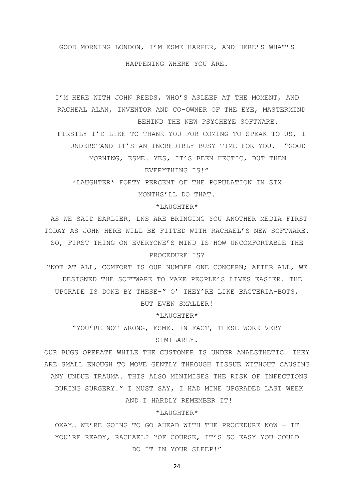#### GOOD MORNING LONDON, I'M ESME HARPER, AND HERE'S WHAT'S

HAPPENING WHERE YOU ARE.

I'M HERE WITH JOHN REEDS, WHO'S ASLEEP AT THE MOMENT, AND RACHEAL ALAN, INVENTOR AND CO-OWNER OF THE EYE, MASTERMIND BEHIND THE NEW PSYCHEYE SOFTWARE.

FIRSTLY I'D LIKE TO THANK YOU FOR COMING TO SPEAK TO US, I UNDERSTAND IT'S AN INCREDIBLY BUSY TIME FOR YOU. "GOOD

MORNING, ESME. YES, IT'S BEEN HECTIC, BUT THEN

EVERYTHING IS!"

\*LAUGHTER\* FORTY PERCENT OF THE POPULATION IN SIX MONTHS'LL DO THAT.

\*LAUGHTER\*

AS WE SAID EARLIER, LNS ARE BRINGING YOU ANOTHER MEDIA FIRST TODAY AS JOHN HERE WILL BE FITTED WITH RACHAEL'S NEW SOFTWARE. SO, FIRST THING ON EVERYONE'S MIND IS HOW UNCOMFORTABLE THE PROCEDURE IS?

"NOT AT ALL, COMFORT IS OUR NUMBER ONE CONCERN; AFTER ALL, WE DESIGNED THE SOFTWARE TO MAKE PEOPLE'S LIVES EASIER. THE UPGRADE IS DONE BY THESE-" O' THEY'RE LIKE BACTERIA-BOTS, BUT EVEN SMALLER!

\*LAUGHTER\*

"YOU'RE NOT WRONG, ESME. IN FACT, THESE WORK VERY SIMILARLY.

OUR BUGS OPERATE WHILE THE CUSTOMER IS UNDER ANAESTHETIC. THEY ARE SMALL ENOUGH TO MOVE GENTLY THROUGH TISSUE WITHOUT CAUSING ANY UNDUE TRAUMA. THIS ALSO MINIMISES THE RISK OF INFECTIONS DURING SURGERY." I MUST SAY, I HAD MINE UPGRADED LAST WEEK AND I HARDLY REMEMBER IT!

#### \*LAUGHTER\*

OKAY… WE'RE GOING TO GO AHEAD WITH THE PROCEDURE NOW – IF YOU'RE READY, RACHAEL? "OF COURSE, IT'S SO EASY YOU COULD DO IT IN YOUR SLEEP!"

24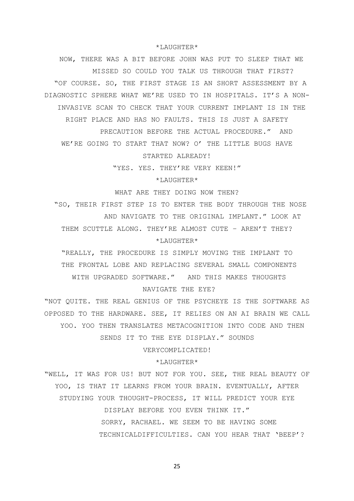\*LAUGHTER\*

NOW, THERE WAS A BIT BEFORE JOHN WAS PUT TO SLEEP THAT WE MISSED SO COULD YOU TALK US THROUGH THAT FIRST? "OF COURSE. SO, THE FIRST STAGE IS AN SHORT ASSESSMENT BY A DIAGNOSTIC SPHERE WHAT WE'RE USED TO IN HOSPITALS. IT'S A NON-INVASIVE SCAN TO CHECK THAT YOUR CURRENT IMPLANT IS IN THE RIGHT PLACE AND HAS NO FAULTS. THIS IS JUST A SAFETY PRECAUTION BEFORE THE ACTUAL PROCEDURE." AND WE'RE GOING TO START THAT NOW? O' THE LITTLE BUGS HAVE

STARTED ALREADY!

"YES. YES. THEY'RE VERY KEEN!"

\*LAUGHTER\*

WHAT ARE THEY DOING NOW THEN?

"SO, THEIR FIRST STEP IS TO ENTER THE BODY THROUGH THE NOSE AND NAVIGATE TO THE ORIGINAL IMPLANT." LOOK AT THEM SCUTTLE ALONG. THEY'RE ALMOST CUTE – AREN'T THEY? \*LAUGHTER\*

"REALLY, THE PROCEDURE IS SIMPLY MOVING THE IMPLANT TO THE FRONTAL LOBE AND REPLACING SEVERAL SMALL COMPONENTS WITH UPGRADED SOFTWARE." AND THIS MAKES THOUGHTS

NAVIGATE THE EYE?

"NOT QUITE. THE REAL GENIUS OF THE PSYCHEYE IS THE SOFTWARE AS OPPOSED TO THE HARDWARE. SEE, IT RELIES ON AN AI BRAIN WE CALL YOO. YOO THEN TRANSLATES METACOGNITION INTO CODE AND THEN SENDS IT TO THE EYE DISPLAY." SOUNDS

VERYCOMPLICATED!

#### $*$ LAUGHTER $*$

"WELL, IT WAS FOR US! BUT NOT FOR YOU. SEE, THE REAL BEAUTY OF YOO, IS THAT IT LEARNS FROM YOUR BRAIN. EVENTUALLY, AFTER STUDYING YOUR THOUGHT-PROCESS, IT WILL PREDICT YOUR EYE DISPLAY BEFORE YOU EVEN THINK IT." SORRY, RACHAEL. WE SEEM TO BE HAVING SOME TECHNICALDIFFICULTIES. CAN YOU HEAR THAT 'BEEP'?

25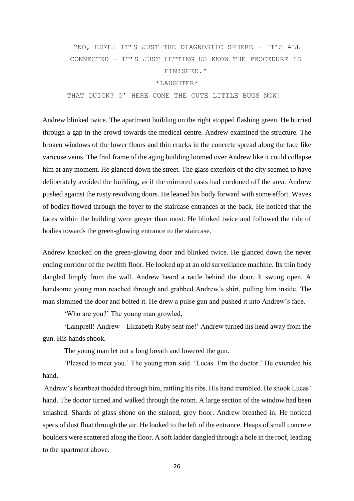# "NO, ESME! IT'S JUST THE DIAGNOSTIC SPHERE – IT'S ALL CONNECTED – IT'S JUST LETTING US KNOW THE PROCEDURE IS FINISHED."

## \*LAUGHTER\*

THAT QUICK? O' HERE COME THE CUTE LITTLE BUGS NOW!

Andrew blinked twice. The apartment building on the right stopped flashing green. He hurried through a gap in the crowd towards the medical centre. Andrew examined the structure. The broken windows of the lower floors and thin cracks in the concrete spread along the face like varicose veins. The frail frame of the aging building loomed over Andrew like it could collapse him at any moment. He glanced down the street. The glass exteriors of the city seemed to have deliberately avoided the building, as if the mirrored casts had cordoned off the area. Andrew pushed against the rusty revolving doors. He leaned his body forward with some effort. Waves of bodies flowed through the foyer to the staircase entrances at the back. He noticed that the faces within the building were greyer than most. He blinked twice and followed the tide of bodies towards the green-glowing entrance to the staircase.

Andrew knocked on the green-glowing door and blinked twice. He glanced down the never ending corridor of the twelfth floor. He looked up at an old surveillance machine. Its thin body dangled limply from the wall. Andrew heard a rattle behind the door. It swung open. A handsome young man reached through and grabbed Andrew's shirt, pulling him inside. The man slammed the door and bolted it. He drew a pulse gun and pushed it into Andrew's face.

'Who are you?' The young man growled,

'Lamprell! Andrew – Elizabeth Ruby sent me!' Andrew turned his head away from the gun. His hands shook.

The young man let out a long breath and lowered the gun.

'Pleased to meet you.' The young man said. 'Lucas. I'm the doctor.' He extended his hand.

Andrew's heartbeat thudded through him, rattling his ribs. His hand trembled. He shook Lucas' hand. The doctor turned and walked through the room. A large section of the window had been smashed. Shards of glass shone on the stained, grey floor. Andrew breathed in. He noticed specs of dust float through the air. He looked to the left of the entrance. Heaps of small concrete boulders were scattered along the floor. A soft ladder dangled through a hole in the roof, leading to the apartment above.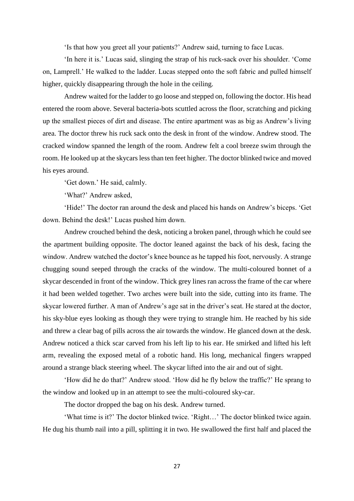'Is that how you greet all your patients?' Andrew said, turning to face Lucas.

'In here it is.' Lucas said, slinging the strap of his ruck-sack over his shoulder. 'Come on, Lamprell.' He walked to the ladder. Lucas stepped onto the soft fabric and pulled himself higher, quickly disappearing through the hole in the ceiling.

Andrew waited for the ladder to go loose and stepped on, following the doctor. His head entered the room above. Several bacteria-bots scuttled across the floor, scratching and picking up the smallest pieces of dirt and disease. The entire apartment was as big as Andrew's living area. The doctor threw his ruck sack onto the desk in front of the window. Andrew stood. The cracked window spanned the length of the room. Andrew felt a cool breeze swim through the room. He looked up at the skycars less than ten feet higher. The doctor blinked twice and moved his eyes around.

'Get down.' He said, calmly.

'What?' Andrew asked,

'Hide!' The doctor ran around the desk and placed his hands on Andrew's biceps. 'Get down. Behind the desk!' Lucas pushed him down.

Andrew crouched behind the desk, noticing a broken panel, through which he could see the apartment building opposite. The doctor leaned against the back of his desk, facing the window. Andrew watched the doctor's knee bounce as he tapped his foot, nervously. A strange chugging sound seeped through the cracks of the window. The multi-coloured bonnet of a skycar descended in front of the window. Thick grey lines ran across the frame of the car where it had been welded together. Two arches were built into the side, cutting into its frame. The skycar lowered further. A man of Andrew's age sat in the driver's seat. He stared at the doctor, his sky-blue eyes looking as though they were trying to strangle him. He reached by his side and threw a clear bag of pills across the air towards the window. He glanced down at the desk. Andrew noticed a thick scar carved from his left lip to his ear. He smirked and lifted his left arm, revealing the exposed metal of a robotic hand. His long, mechanical fingers wrapped around a strange black steering wheel. The skycar lifted into the air and out of sight.

'How did he do that?' Andrew stood. 'How did he fly below the traffic?' He sprang to the window and looked up in an attempt to see the multi-coloured sky-car.

The doctor dropped the bag on his desk. Andrew turned.

'What time is it?' The doctor blinked twice. 'Right…' The doctor blinked twice again. He dug his thumb nail into a pill, splitting it in two. He swallowed the first half and placed the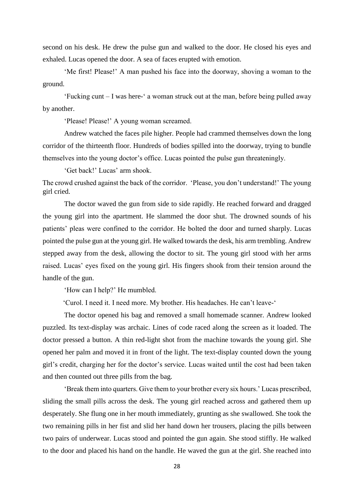second on his desk. He drew the pulse gun and walked to the door. He closed his eyes and exhaled. Lucas opened the door. A sea of faces erupted with emotion.

'Me first! Please!' A man pushed his face into the doorway, shoving a woman to the ground.

'Fucking cunt – I was here-' a woman struck out at the man, before being pulled away by another.

'Please! Please!' A young woman screamed.

Andrew watched the faces pile higher. People had crammed themselves down the long corridor of the thirteenth floor. Hundreds of bodies spilled into the doorway, trying to bundle themselves into the young doctor's office. Lucas pointed the pulse gun threateningly.

'Get back!' Lucas' arm shook.

The crowd crushed against the back of the corridor. 'Please, you don't understand!' The young girl cried.

The doctor waved the gun from side to side rapidly. He reached forward and dragged the young girl into the apartment. He slammed the door shut. The drowned sounds of his patients' pleas were confined to the corridor. He bolted the door and turned sharply. Lucas pointed the pulse gun at the young girl. He walked towards the desk, his arm trembling. Andrew stepped away from the desk, allowing the doctor to sit. The young girl stood with her arms raised. Lucas' eyes fixed on the young girl. His fingers shook from their tension around the handle of the gun.

'How can I help?' He mumbled.

'Curol. I need it. I need more. My brother. His headaches. He can't leave-'

The doctor opened his bag and removed a small homemade scanner. Andrew looked puzzled. Its text-display was archaic. Lines of code raced along the screen as it loaded. The doctor pressed a button. A thin red-light shot from the machine towards the young girl. She opened her palm and moved it in front of the light. The text-display counted down the young girl's credit, charging her for the doctor's service. Lucas waited until the cost had been taken and then counted out three pills from the bag.

'Break them into quarters. Give them to your brother every six hours.' Lucas prescribed, sliding the small pills across the desk. The young girl reached across and gathered them up desperately. She flung one in her mouth immediately, grunting as she swallowed. She took the two remaining pills in her fist and slid her hand down her trousers, placing the pills between two pairs of underwear. Lucas stood and pointed the gun again. She stood stiffly. He walked to the door and placed his hand on the handle. He waved the gun at the girl. She reached into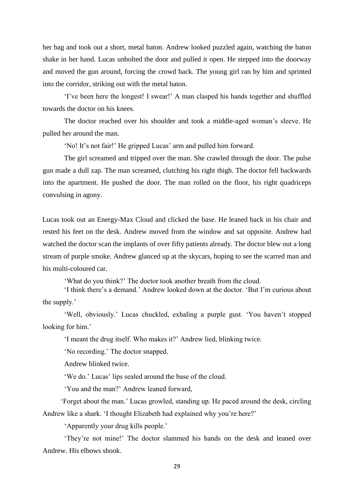her bag and took out a short, metal baton. Andrew looked puzzled again, watching the baton shake in her hand. Lucas unbolted the door and pulled it open. He stepped into the doorway and moved the gun around, forcing the crowd back. The young girl ran by him and sprinted into the corridor, striking out with the metal baton.

'I've been here the longest! I swear!' A man clasped his hands together and shuffled towards the doctor on his knees.

The doctor reached over his shoulder and took a middle-aged woman's sleeve. He pulled her around the man.

'No! It's not fair!' He gripped Lucas' arm and pulled him forward.

The girl screamed and tripped over the man. She crawled through the door. The pulse gun made a dull zap. The man screamed, clutching his right thigh. The doctor fell backwards into the apartment. He pushed the door. The man rolled on the floor, his right quadriceps convulsing in agony.

Lucas took out an Energy-Max Cloud and clicked the base. He leaned back in his chair and rested his feet on the desk. Andrew moved from the window and sat opposite. Andrew had watched the doctor scan the implants of over fifty patients already. The doctor blew out a long stream of purple smoke. Andrew glanced up at the skycars, hoping to see the scarred man and his multi-coloured car.

'What do you think?' The doctor took another breath from the cloud.

'I think there's a demand.' Andrew looked down at the doctor. 'But I'm curious about the supply.'

'Well, obviously.' Lucas chuckled, exhaling a purple gust. 'You haven't stopped looking for him.'

'I meant the drug itself. Who makes it?' Andrew lied, blinking twice.

'No recording.' The doctor snapped.

Andrew blinked twice.

'We do.' Lucas' lips sealed around the base of the cloud.

'You and the man?' Andrew leaned forward,

'Forget about the man.' Lucas growled, standing up. He paced around the desk, circling Andrew like a shark. 'I thought Elizabeth had explained why you're here?'

'Apparently your drug kills people.'

'They're not mine!' The doctor slammed his hands on the desk and leaned over Andrew. His elbows shook.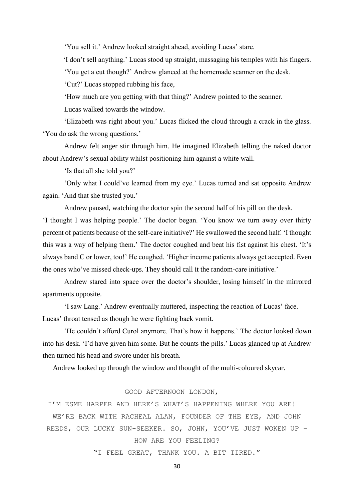'You sell it.' Andrew looked straight ahead, avoiding Lucas' stare.

'I don't sell anything.' Lucas stood up straight, massaging his temples with his fingers.

'You get a cut though?' Andrew glanced at the homemade scanner on the desk.

'Cut?' Lucas stopped rubbing his face,

'How much are you getting with that thing?' Andrew pointed to the scanner.

Lucas walked towards the window.

'Elizabeth was right about you.' Lucas flicked the cloud through a crack in the glass. 'You do ask the wrong questions.'

Andrew felt anger stir through him. He imagined Elizabeth telling the naked doctor about Andrew's sexual ability whilst positioning him against a white wall.

'Is that all she told you?'

'Only what I could've learned from my eye.' Lucas turned and sat opposite Andrew again. 'And that she trusted you.'

Andrew paused, watching the doctor spin the second half of his pill on the desk.

'I thought I was helping people.' The doctor began. 'You know we turn away over thirty percent of patients because of the self-care initiative?' He swallowed the second half. 'I thought this was a way of helping them.' The doctor coughed and beat his fist against his chest. 'It's always band C or lower, too!' He coughed. 'Higher income patients always get accepted. Even the ones who've missed check-ups. They should call it the random-care initiative.'

Andrew stared into space over the doctor's shoulder, losing himself in the mirrored apartments opposite.

'I saw Lang.' Andrew eventually muttered, inspecting the reaction of Lucas' face. Lucas' throat tensed as though he were fighting back vomit.

'He couldn't afford Curol anymore. That's how it happens.' The doctor looked down into his desk. 'I'd have given him some. But he counts the pills.' Lucas glanced up at Andrew then turned his head and swore under his breath.

Andrew looked up through the window and thought of the multi-coloured skycar.

#### GOOD AFTERNOON LONDON,

I'M ESME HARPER AND HERE'S WHAT'S HAPPENING WHERE YOU ARE! WE'RE BACK WITH RACHEAL ALAN, FOUNDER OF THE EYE, AND JOHN REEDS, OUR LUCKY SUN-SEEKER. SO, JOHN, YOU'VE JUST WOKEN UP – HOW ARE YOU FEELING?

"I FEEL GREAT, THANK YOU. A BIT TIRED."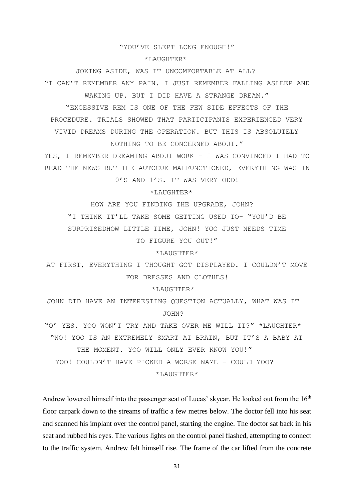#### "YOU'VE SLEPT LONG ENOUGH!"

#### \*LAUGHTER\*

JOKING ASIDE, WAS IT UNCOMFORTABLE AT ALL? "I CAN'T REMEMBER ANY PAIN. I JUST REMEMBER FALLING ASLEEP AND WAKING UP. BUT I DID HAVE A STRANGE DREAM."

"EXCESSIVE REM IS ONE OF THE FEW SIDE EFFECTS OF THE PROCEDURE. TRIALS SHOWED THAT PARTICIPANTS EXPERIENCED VERY VIVID DREAMS DURING THE OPERATION. BUT THIS IS ABSOLUTELY

NOTHING TO BE CONCERNED ABOUT."

YES, I REMEMBER DREAMING ABOUT WORK – I WAS CONVINCED I HAD TO READ THE NEWS BUT THE AUTOCUE MALFUNCTIONED, EVERYTHING WAS IN

0'S AND 1'S. IT WAS VERY ODD!

\*LAUGHTER\*

HOW ARE YOU FINDING THE UPGRADE, JOHN?

"I THINK IT'LL TAKE SOME GETTING USED TO- "YOU'D BE

SURPRISEDHOW LITTLE TIME, JOHN! YOO JUST NEEDS TIME

TO FIGURE YOU OUT!"

#### \*LAUGHTER\*

AT FIRST, EVERYTHING I THOUGHT GOT DISPLAYED. I COULDN'T MOVE FOR DRESSES AND CLOTHES!

\*LAUGHTER\*

JOHN DID HAVE AN INTERESTING QUESTION ACTUALLY, WHAT WAS IT JOHN?

"O' YES. YOO WON'T TRY AND TAKE OVER ME WILL IT?" \*LAUGHTER\* "NO! YOO IS AN EXTREMELY SMART AI BRAIN, BUT IT'S A BABY AT THE MOMENT. YOO WILL ONLY EVER KNOW YOU!" YOO! COULDN'T HAVE PICKED A WORSE NAME – COULD YOO? \*LAUGHTER\*

Andrew lowered himself into the passenger seat of Lucas' skycar. He looked out from the  $16<sup>th</sup>$ floor carpark down to the streams of traffic a few metres below. The doctor fell into his seat and scanned his implant over the control panel, starting the engine. The doctor sat back in his seat and rubbed his eyes. The various lights on the control panel flashed, attempting to connect to the traffic system. Andrew felt himself rise. The frame of the car lifted from the concrete

31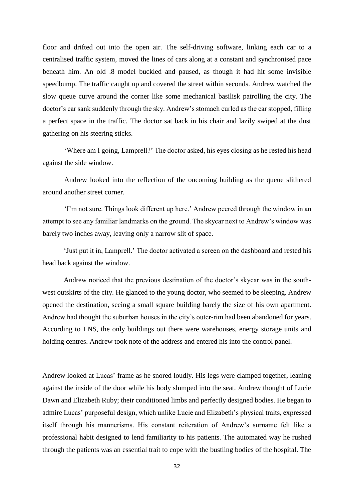floor and drifted out into the open air. The self-driving software, linking each car to a centralised traffic system, moved the lines of cars along at a constant and synchronised pace beneath him. An old .8 model buckled and paused, as though it had hit some invisible speedbump. The traffic caught up and covered the street within seconds. Andrew watched the slow queue curve around the corner like some mechanical basilisk patrolling the city. The doctor's car sank suddenly through the sky. Andrew's stomach curled as the car stopped, filling a perfect space in the traffic. The doctor sat back in his chair and lazily swiped at the dust gathering on his steering sticks.

'Where am I going, Lamprell?' The doctor asked, his eyes closing as he rested his head against the side window.

Andrew looked into the reflection of the oncoming building as the queue slithered around another street corner.

'I'm not sure. Things look different up here.' Andrew peered through the window in an attempt to see any familiar landmarks on the ground. The skycar next to Andrew's window was barely two inches away, leaving only a narrow slit of space.

'Just put it in, Lamprell.' The doctor activated a screen on the dashboard and rested his head back against the window.

Andrew noticed that the previous destination of the doctor's skycar was in the southwest outskirts of the city. He glanced to the young doctor, who seemed to be sleeping. Andrew opened the destination, seeing a small square building barely the size of his own apartment. Andrew had thought the suburban houses in the city's outer-rim had been abandoned for years. According to LNS, the only buildings out there were warehouses, energy storage units and holding centres. Andrew took note of the address and entered his into the control panel.

Andrew looked at Lucas' frame as he snored loudly. His legs were clamped together, leaning against the inside of the door while his body slumped into the seat. Andrew thought of Lucie Dawn and Elizabeth Ruby; their conditioned limbs and perfectly designed bodies. He began to admire Lucas' purposeful design, which unlike Lucie and Elizabeth's physical traits, expressed itself through his mannerisms. His constant reiteration of Andrew's surname felt like a professional habit designed to lend familiarity to his patients. The automated way he rushed through the patients was an essential trait to cope with the bustling bodies of the hospital. The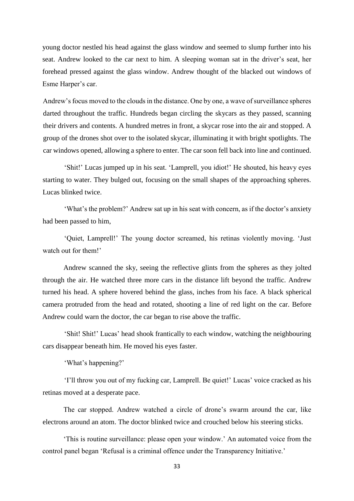young doctor nestled his head against the glass window and seemed to slump further into his seat. Andrew looked to the car next to him. A sleeping woman sat in the driver's seat, her forehead pressed against the glass window. Andrew thought of the blacked out windows of Esme Harper's car.

Andrew's focus moved to the clouds in the distance. One by one, a wave of surveillance spheres darted throughout the traffic. Hundreds began circling the skycars as they passed, scanning their drivers and contents. A hundred metres in front, a skycar rose into the air and stopped. A group of the drones shot over to the isolated skycar, illuminating it with bright spotlights. The car windows opened, allowing a sphere to enter. The car soon fell back into line and continued.

'Shit!' Lucas jumped up in his seat. 'Lamprell, you idiot!' He shouted, his heavy eyes starting to water. They bulged out, focusing on the small shapes of the approaching spheres. Lucas blinked twice.

'What's the problem?' Andrew sat up in his seat with concern, as if the doctor's anxiety had been passed to him,

'Quiet, Lamprell!' The young doctor screamed, his retinas violently moving. 'Just watch out for them!'

Andrew scanned the sky, seeing the reflective glints from the spheres as they jolted through the air. He watched three more cars in the distance lift beyond the traffic. Andrew turned his head. A sphere hovered behind the glass, inches from his face. A black spherical camera protruded from the head and rotated, shooting a line of red light on the car. Before Andrew could warn the doctor, the car began to rise above the traffic.

'Shit! Shit!' Lucas' head shook frantically to each window, watching the neighbouring cars disappear beneath him. He moved his eyes faster.

'What's happening?'

'I'll throw you out of my fucking car, Lamprell. Be quiet!' Lucas' voice cracked as his retinas moved at a desperate pace.

The car stopped. Andrew watched a circle of drone's swarm around the car, like electrons around an atom. The doctor blinked twice and crouched below his steering sticks.

'This is routine surveillance: please open your window.' An automated voice from the control panel began 'Refusal is a criminal offence under the Transparency Initiative.'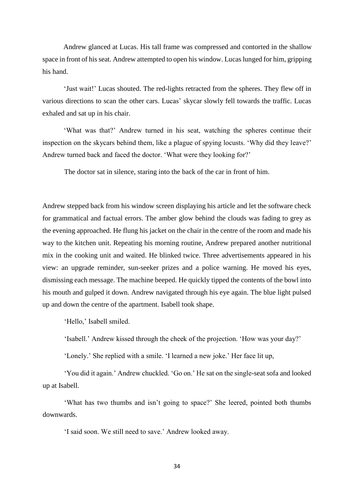Andrew glanced at Lucas. His tall frame was compressed and contorted in the shallow space in front of his seat. Andrew attempted to open his window. Lucas lunged for him, gripping his hand.

'Just wait!' Lucas shouted. The red-lights retracted from the spheres. They flew off in various directions to scan the other cars. Lucas' skycar slowly fell towards the traffic. Lucas exhaled and sat up in his chair.

'What was that?' Andrew turned in his seat, watching the spheres continue their inspection on the skycars behind them, like a plague of spying locusts. 'Why did they leave?' Andrew turned back and faced the doctor. 'What were they looking for?'

The doctor sat in silence, staring into the back of the car in front of him.

Andrew stepped back from his window screen displaying his article and let the software check for grammatical and factual errors. The amber glow behind the clouds was fading to grey as the evening approached. He flung his jacket on the chair in the centre of the room and made his way to the kitchen unit. Repeating his morning routine, Andrew prepared another nutritional mix in the cooking unit and waited. He blinked twice. Three advertisements appeared in his view: an upgrade reminder, sun-seeker prizes and a police warning. He moved his eyes, dismissing each message. The machine beeped. He quickly tipped the contents of the bowl into his mouth and gulped it down. Andrew navigated through his eye again. The blue light pulsed up and down the centre of the apartment. Isabell took shape.

'Hello,' Isabell smiled.

'Isabell.' Andrew kissed through the cheek of the projection. 'How was your day?'

'Lonely.' She replied with a smile. 'I learned a new joke.' Her face lit up,

'You did it again.' Andrew chuckled. 'Go on.' He sat on the single-seat sofa and looked up at Isabell.

'What has two thumbs and isn't going to space?' She leered, pointed both thumbs downwards.

'I said soon. We still need to save.' Andrew looked away.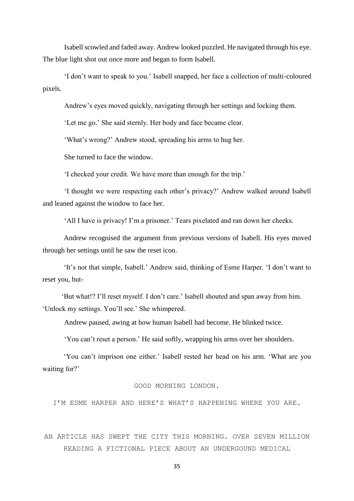Isabell scowled and faded away. Andrew looked puzzled. He navigated through his eye. The blue light shot out once more and began to form Isabell.

'I don't want to speak to you.' Isabell snapped, her face a collection of multi-coloured pixels.

Andrew's eyes moved quickly, navigating through her settings and locking them.

'Let me go.' She said sternly. Her body and face became clear.

'What's wrong?' Andrew stood, spreading his arms to hug her.

She turned to face the window.

'I checked your credit. We have more than enough for the trip.'

'I thought we were respecting each other's privacy?' Andrew walked around Isabell and leaned against the window to face her.

'All I have is privacy! I'm a prisoner.' Tears pixelated and ran down her cheeks.

Andrew recognised the argument from previous versions of Isabell. His eyes moved through her settings until he saw the reset icon.

'It's not that simple, Isabell.' Andrew said, thinking of Esme Harper. 'I don't want to reset you, but-

 'But what!? I'll reset myself. I don't care.' Isabell shouted and span away from him. 'Unlock my settings. You'll see.' She whimpered.

Andrew paused, awing at how human Isabell had become. He blinked twice.

'You can't reset a person.' He said softly, wrapping his arms over her shoulders.

'You can't imprison one either.' Isabell rested her head on his arm. 'What are you waiting for?'

#### GOOD MORNING LONDON.

I'M ESME HARPER AND HERE'S WHAT'S HAPPENING WHERE YOU ARE.

AN ARTICLE HAS SWEPT THE CITY THIS MORNING. OVER SEVEN MILLION READING A FICTIONAL PIECE ABOUT AN UNDERGOUND MEDICAL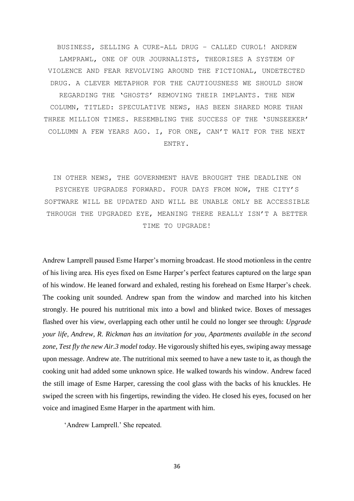BUSINESS, SELLING A CURE-ALL DRUG – CALLED CUROL! ANDREW LAMPRAWL, ONE OF OUR JOURNALISTS, THEORISES A SYSTEM OF VIOLENCE AND FEAR REVOLVING AROUND THE FICTIONAL, UNDETECTED DRUG. A CLEVER METAPHOR FOR THE CAUTIOUSNESS WE SHOULD SHOW REGARDING THE 'GHOSTS' REMOVING THEIR IMPLANTS. THE NEW COLUMN, TITLED: SPECULATIVE NEWS, HAS BEEN SHARED MORE THAN THREE MILLION TIMES. RESEMBLING THE SUCCESS OF THE 'SUNSEEKER' COLLUMN A FEW YEARS AGO. I, FOR ONE, CAN'T WAIT FOR THE NEXT ENTRY.

IN OTHER NEWS, THE GOVERNMENT HAVE BROUGHT THE DEADLINE ON PSYCHEYE UPGRADES FORWARD. FOUR DAYS FROM NOW, THE CITY'S SOFTWARE WILL BE UPDATED AND WILL BE UNABLE ONLY BE ACCESSIBLE THROUGH THE UPGRADED EYE, MEANING THERE REALLY ISN'T A BETTER TIME TO UPGRADE!

Andrew Lamprell paused Esme Harper's morning broadcast. He stood motionless in the centre of his living area. His eyes fixed on Esme Harper's perfect features captured on the large span of his window. He leaned forward and exhaled, resting his forehead on Esme Harper's cheek. The cooking unit sounded. Andrew span from the window and marched into his kitchen strongly. He poured his nutritional mix into a bowl and blinked twice. Boxes of messages flashed over his view, overlapping each other until he could no longer see through: *Upgrade your life, Andrew, R. Rickman has an invitation for you*, *Apartments available in the second zone, Test fly the new Air.3 model today*. He vigorously shifted his eyes, swiping away message upon message. Andrew ate. The nutritional mix seemed to have a new taste to it, as though the cooking unit had added some unknown spice. He walked towards his window. Andrew faced the still image of Esme Harper, caressing the cool glass with the backs of his knuckles. He swiped the screen with his fingertips, rewinding the video. He closed his eyes, focused on her voice and imagined Esme Harper in the apartment with him.

'Andrew Lamprell.' She repeated.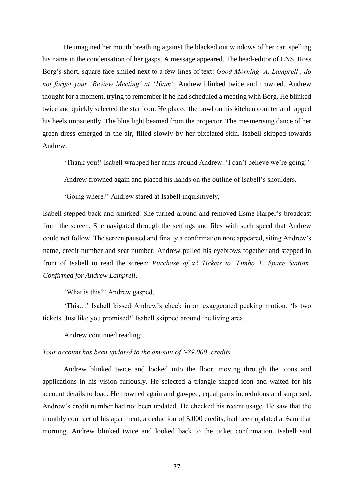He imagined her mouth breathing against the blacked out windows of her car, spelling his name in the condensation of her gasps. A message appeared. The head-editor of LNS, Ross Borg's short, square face smiled next to a few lines of text: *Good Morning 'A. Lamprell', do not forget your 'Review Meeting' at '10am'*. Andrew blinked twice and frowned. Andrew thought for a moment, trying to remember if he had scheduled a meeting with Borg. He blinked twice and quickly selected the star icon. He placed the bowl on his kitchen counter and tapped his heels impatiently. The blue light beamed from the projector. The mesmerising dance of her green dress emerged in the air, filled slowly by her pixelated skin. Isabell skipped towards Andrew.

'Thank you!' Isabell wrapped her arms around Andrew. 'I can't believe we're going!'

Andrew frowned again and placed his hands on the outline of Isabell's shoulders.

'Going where?' Andrew stared at Isabell inquisitively,

Isabell stepped back and smirked. She turned around and removed Esme Harper's broadcast from the screen. She navigated through the settings and files with such speed that Andrew could not follow. The screen paused and finally a confirmation note appeared, siting Andrew's name, credit number and seat number. Andrew pulled his eyebrows together and stepped in front of Isabell to read the screen: *Purchase of x2 Tickets to 'Limbo X: Space Station' Confirmed for Andrew Lamprell*.

'What is this?' Andrew gasped,

'This…' Isabell kissed Andrew's cheek in an exaggerated pecking motion. 'Is two tickets. Just like you promised!' Isabell skipped around the living area.

Andrew continued reading:

# *Your account has been updated to the amount of '-89,000' credits.*

Andrew blinked twice and looked into the floor, moving through the icons and applications in his vision furiously. He selected a triangle-shaped icon and waited for his account details to load. He frowned again and gawped, equal parts incredulous and surprised. Andrew's credit number had not been updated. He checked his recent usage. He saw that the monthly contract of his apartment, a deduction of 5,000 credits, had been updated at 6am that morning. Andrew blinked twice and looked back to the ticket confirmation. Isabell said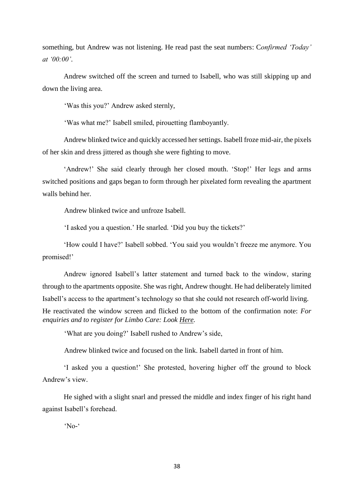something, but Andrew was not listening. He read past the seat numbers: C*onfirmed 'Today' at '00:00'*.

Andrew switched off the screen and turned to Isabell, who was still skipping up and down the living area.

'Was this you?' Andrew asked sternly,

'Was what me?' Isabell smiled, pirouetting flamboyantly.

Andrew blinked twice and quickly accessed her settings. Isabell froze mid-air, the pixels of her skin and dress jittered as though she were fighting to move.

'Andrew!' She said clearly through her closed mouth. 'Stop!' Her legs and arms switched positions and gaps began to form through her pixelated form revealing the apartment walls behind her.

Andrew blinked twice and unfroze Isabell.

'I asked you a question.' He snarled. 'Did you buy the tickets?'

'How could I have?' Isabell sobbed. 'You said you wouldn't freeze me anymore. You promised!'

Andrew ignored Isabell's latter statement and turned back to the window, staring through to the apartments opposite. She was right, Andrew thought. He had deliberately limited Isabell's access to the apartment's technology so that she could not research off-world living. He reactivated the window screen and flicked to the bottom of the confirmation note: *For enquiries and to register for Limbo Care: Look Here.*

'What are you doing?' Isabell rushed to Andrew's side,

Andrew blinked twice and focused on the link. Isabell darted in front of him.

'I asked you a question!' She protested, hovering higher off the ground to block Andrew's view.

He sighed with a slight snarl and pressed the middle and index finger of his right hand against Isabell's forehead.

'No-'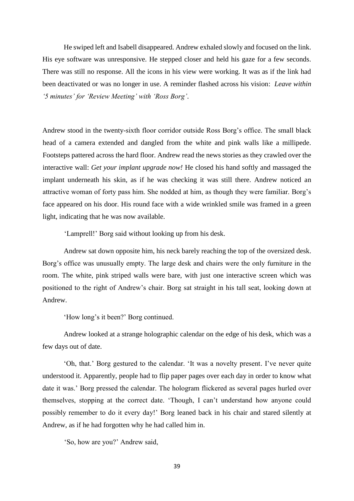He swiped left and Isabell disappeared. Andrew exhaled slowly and focused on the link. His eye software was unresponsive. He stepped closer and held his gaze for a few seconds. There was still no response. All the icons in his view were working. It was as if the link had been deactivated or was no longer in use. A reminder flashed across his vision: *Leave within '5 minutes' for 'Review Meeting' with 'Ross Borg'*.

Andrew stood in the twenty-sixth floor corridor outside Ross Borg's office. The small black head of a camera extended and dangled from the white and pink walls like a millipede. Footsteps pattered across the hard floor. Andrew read the news stories as they crawled over the interactive wall: *Get your implant upgrade now!* He closed his hand softly and massaged the implant underneath his skin, as if he was checking it was still there. Andrew noticed an attractive woman of forty pass him. She nodded at him, as though they were familiar. Borg's face appeared on his door. His round face with a wide wrinkled smile was framed in a green light, indicating that he was now available.

'Lamprell!' Borg said without looking up from his desk.

Andrew sat down opposite him, his neck barely reaching the top of the oversized desk. Borg's office was unusually empty. The large desk and chairs were the only furniture in the room. The white, pink striped walls were bare, with just one interactive screen which was positioned to the right of Andrew's chair. Borg sat straight in his tall seat, looking down at Andrew.

'How long's it been?' Borg continued.

Andrew looked at a strange holographic calendar on the edge of his desk, which was a few days out of date.

'Oh, that.' Borg gestured to the calendar. 'It was a novelty present. I've never quite understood it. Apparently, people had to flip paper pages over each day in order to know what date it was.' Borg pressed the calendar. The hologram flickered as several pages hurled over themselves, stopping at the correct date. 'Though, I can't understand how anyone could possibly remember to do it every day!' Borg leaned back in his chair and stared silently at Andrew, as if he had forgotten why he had called him in.

'So, how are you?' Andrew said,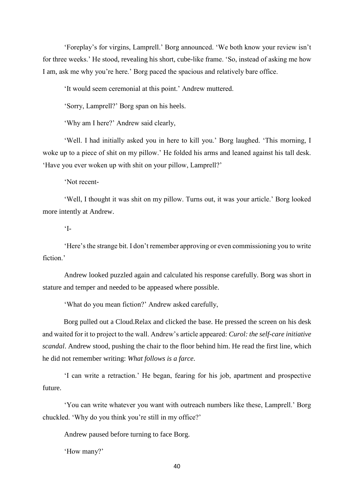'Foreplay's for virgins, Lamprell.' Borg announced. 'We both know your review isn't for three weeks.' He stood, revealing his short, cube-like frame. 'So, instead of asking me how I am, ask me why you're here.' Borg paced the spacious and relatively bare office.

'It would seem ceremonial at this point.' Andrew muttered.

'Sorry, Lamprell?' Borg span on his heels.

'Why am I here?' Andrew said clearly,

'Well. I had initially asked you in here to kill you.' Borg laughed. 'This morning, I woke up to a piece of shit on my pillow.' He folded his arms and leaned against his tall desk. 'Have you ever woken up with shit on your pillow, Lamprell?'

'Not recent-

'Well, I thought it was shit on my pillow. Turns out, it was your article.' Borg looked more intently at Andrew.

 $\mathcal{I}$ -

'Here's the strange bit. I don't remember approving or even commissioning you to write fiction.'

Andrew looked puzzled again and calculated his response carefully. Borg was short in stature and temper and needed to be appeased where possible.

'What do you mean fiction?' Andrew asked carefully,

Borg pulled out a Cloud.Relax and clicked the base. He pressed the screen on his desk and waited for it to project to the wall. Andrew's article appeared: *Curol: the self-care initiative scandal*. Andrew stood, pushing the chair to the floor behind him. He read the first line, which he did not remember writing: *What follows is a farce*.

'I can write a retraction.' He began, fearing for his job, apartment and prospective future.

'You can write whatever you want with outreach numbers like these, Lamprell.' Borg chuckled. 'Why do you think you're still in my office?'

Andrew paused before turning to face Borg.

'How many?'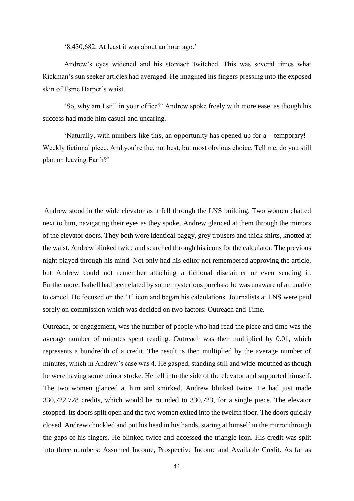'8,430,682. At least it was about an hour ago.'

Andrew's eyes widened and his stomach twitched. This was several times what Rickman's sun seeker articles had averaged. He imagined his fingers pressing into the exposed skin of Esme Harper's waist.

'So, why am I still in your office?' Andrew spoke freely with more ease, as though his success had made him casual and uncaring.

'Naturally, with numbers like this, an opportunity has opened up for a – temporary! – Weekly fictional piece. And you're the, not best, but most obvious choice. Tell me, do you still plan on leaving Earth?'

Andrew stood in the wide elevator as it fell through the LNS building. Two women chatted next to him, navigating their eyes as they spoke. Andrew glanced at them through the mirrors of the elevator doors. They both wore identical baggy, grey trousers and thick shirts, knotted at the waist. Andrew blinked twice and searched through his icons for the calculator. The previous night played through his mind. Not only had his editor not remembered approving the article, but Andrew could not remember attaching a fictional disclaimer or even sending it. Furthermore, Isabell had been elated by some mysterious purchase he was unaware of an unable to cancel. He focused on the '+' icon and began his calculations. Journalists at LNS were paid sorely on commission which was decided on two factors: Outreach and Time.

Outreach, or engagement, was the number of people who had read the piece and time was the average number of minutes spent reading. Outreach was then multiplied by 0.01, which represents a hundredth of a credit. The result is then multiplied by the average number of minutes, which in Andrew's case was 4. He gasped, standing still and wide-mouthed as though he were having some minor stroke. He fell into the side of the elevator and supported himself. The two women glanced at him and smirked. Andrew blinked twice. He had just made 330,722.728 credits, which would be rounded to 330,723, for a single piece. The elevator stopped. Its doors split open and the two women exited into the twelfth floor. The doors quickly closed. Andrew chuckled and put his head in his hands, staring at himself in the mirror through the gaps of his fingers. He blinked twice and accessed the triangle icon. His credit was split into three numbers: Assumed Income, Prospective Income and Available Credit. As far as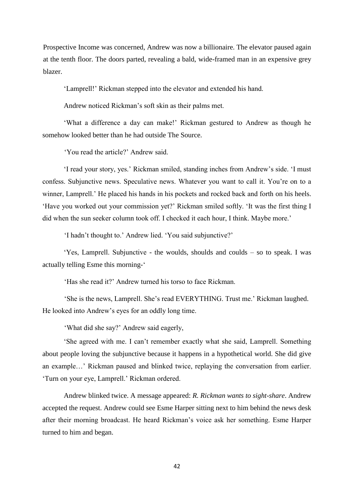Prospective Income was concerned, Andrew was now a billionaire. The elevator paused again at the tenth floor. The doors parted, revealing a bald, wide-framed man in an expensive grey blazer.

'Lamprell!' Rickman stepped into the elevator and extended his hand.

Andrew noticed Rickman's soft skin as their palms met.

'What a difference a day can make!' Rickman gestured to Andrew as though he somehow looked better than he had outside The Source.

'You read the article?' Andrew said.

'I read your story, yes.' Rickman smiled, standing inches from Andrew's side. 'I must confess. Subjunctive news. Speculative news. Whatever you want to call it. You're on to a winner, Lamprell.' He placed his hands in his pockets and rocked back and forth on his heels. 'Have you worked out your commission yet?' Rickman smiled softly. 'It was the first thing I did when the sun seeker column took off. I checked it each hour, I think. Maybe more.'

'I hadn't thought to.' Andrew lied. 'You said subjunctive?'

'Yes, Lamprell. Subjunctive - the woulds, shoulds and coulds – so to speak. I was actually telling Esme this morning-'

'Has she read it?' Andrew turned his torso to face Rickman.

'She is the news, Lamprell. She's read EVERYTHING. Trust me.' Rickman laughed. He looked into Andrew's eyes for an oddly long time.

'What did she say?' Andrew said eagerly,

'She agreed with me. I can't remember exactly what she said, Lamprell. Something about people loving the subjunctive because it happens in a hypothetical world. She did give an example…' Rickman paused and blinked twice, replaying the conversation from earlier. 'Turn on your eye, Lamprell.' Rickman ordered.

Andrew blinked twice. A message appeared: *R. Rickman wants to sight-share*. Andrew accepted the request. Andrew could see Esme Harper sitting next to him behind the news desk after their morning broadcast. He heard Rickman's voice ask her something. Esme Harper turned to him and began.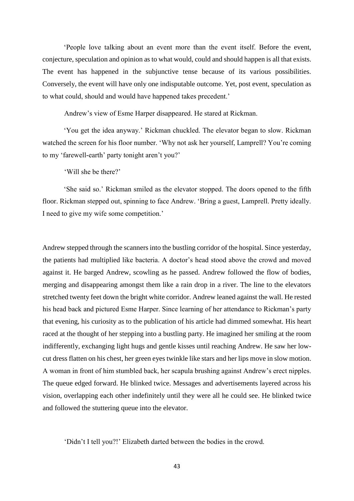'People love talking about an event more than the event itself. Before the event, conjecture, speculation and opinion as to what would, could and should happen is all that exists. The event has happened in the subjunctive tense because of its various possibilities. Conversely, the event will have only one indisputable outcome. Yet, post event, speculation as to what could, should and would have happened takes precedent.'

Andrew's view of Esme Harper disappeared. He stared at Rickman.

'You get the idea anyway.' Rickman chuckled. The elevator began to slow. Rickman watched the screen for his floor number. 'Why not ask her yourself, Lamprell? You're coming to my 'farewell-earth' party tonight aren't you?'

'Will she be there?'

'She said so.' Rickman smiled as the elevator stopped. The doors opened to the fifth floor. Rickman stepped out, spinning to face Andrew. 'Bring a guest, Lamprell. Pretty ideally. I need to give my wife some competition.'

Andrew stepped through the scanners into the bustling corridor of the hospital. Since yesterday, the patients had multiplied like bacteria. A doctor's head stood above the crowd and moved against it. He barged Andrew, scowling as he passed. Andrew followed the flow of bodies, merging and disappearing amongst them like a rain drop in a river. The line to the elevators stretched twenty feet down the bright white corridor. Andrew leaned against the wall. He rested his head back and pictured Esme Harper. Since learning of her attendance to Rickman's party that evening, his curiosity as to the publication of his article had dimmed somewhat. His heart raced at the thought of her stepping into a bustling party. He imagined her smiling at the room indifferently, exchanging light hugs and gentle kisses until reaching Andrew. He saw her lowcut dress flatten on his chest, her green eyes twinkle like stars and her lips move in slow motion. A woman in front of him stumbled back, her scapula brushing against Andrew's erect nipples. The queue edged forward. He blinked twice. Messages and advertisements layered across his vision, overlapping each other indefinitely until they were all he could see. He blinked twice and followed the stuttering queue into the elevator.

'Didn't I tell you?!' Elizabeth darted between the bodies in the crowd.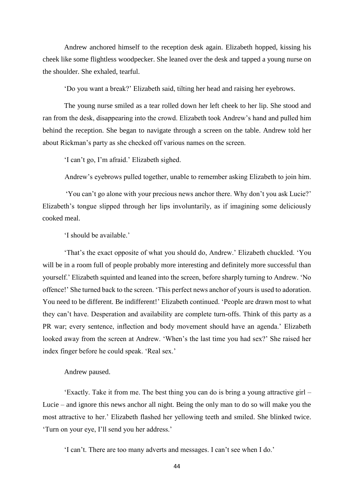Andrew anchored himself to the reception desk again. Elizabeth hopped, kissing his cheek like some flightless woodpecker. She leaned over the desk and tapped a young nurse on the shoulder. She exhaled, tearful.

'Do you want a break?' Elizabeth said, tilting her head and raising her eyebrows.

The young nurse smiled as a tear rolled down her left cheek to her lip. She stood and ran from the desk, disappearing into the crowd. Elizabeth took Andrew's hand and pulled him behind the reception. She began to navigate through a screen on the table. Andrew told her about Rickman's party as she checked off various names on the screen.

'I can't go, I'm afraid.' Elizabeth sighed.

Andrew's eyebrows pulled together, unable to remember asking Elizabeth to join him.

'You can't go alone with your precious news anchor there. Why don't you ask Lucie?' Elizabeth's tongue slipped through her lips involuntarily, as if imagining some deliciously cooked meal.

'I should be available.'

'That's the exact opposite of what you should do, Andrew.' Elizabeth chuckled. 'You will be in a room full of people probably more interesting and definitely more successful than yourself.' Elizabeth squinted and leaned into the screen, before sharply turning to Andrew. 'No offence!' She turned back to the screen. 'This perfect news anchor of yours is used to adoration. You need to be different. Be indifferent!' Elizabeth continued. 'People are drawn most to what they can't have. Desperation and availability are complete turn-offs. Think of this party as a PR war; every sentence, inflection and body movement should have an agenda.' Elizabeth looked away from the screen at Andrew. 'When's the last time you had sex?' She raised her index finger before he could speak. 'Real sex.'

#### Andrew paused.

'Exactly. Take it from me. The best thing you can do is bring a young attractive girl – Lucie – and ignore this news anchor all night. Being the only man to do so will make you the most attractive to her.' Elizabeth flashed her yellowing teeth and smiled. She blinked twice. 'Turn on your eye, I'll send you her address.'

'I can't. There are too many adverts and messages. I can't see when I do.'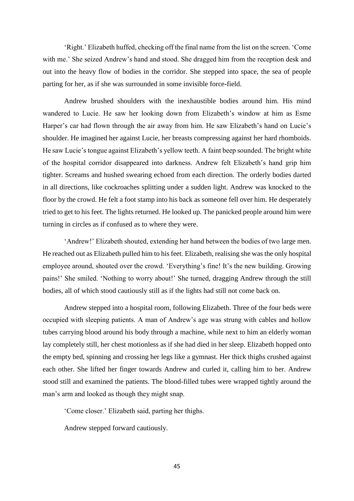'Right.' Elizabeth huffed, checking off the final name from the list on the screen. 'Come with me.' She seized Andrew's hand and stood. She dragged him from the reception desk and out into the heavy flow of bodies in the corridor. She stepped into space, the sea of people parting for her, as if she was surrounded in some invisible force-field.

Andrew brushed shoulders with the inexhaustible bodies around him. His mind wandered to Lucie. He saw her looking down from Elizabeth's window at him as Esme Harper's car had flown through the air away from him. He saw Elizabeth's hand on Lucie's shoulder. He imagined her against Lucie, her breasts compressing against her hard rhomboids. He saw Lucie's tongue against Elizabeth's yellow teeth. A faint beep sounded. The bright white of the hospital corridor disappeared into darkness. Andrew felt Elizabeth's hand grip him tighter. Screams and hushed swearing echoed from each direction. The orderly bodies darted in all directions, like cockroaches splitting under a sudden light. Andrew was knocked to the floor by the crowd. He felt a foot stamp into his back as someone fell over him. He desperately tried to get to his feet. The lights returned. He looked up. The panicked people around him were turning in circles as if confused as to where they were.

'Andrew!' Elizabeth shouted, extending her hand between the bodies of two large men. He reached out as Elizabeth pulled him to his feet. Elizabeth, realising she was the only hospital employee around, shouted over the crowd. 'Everything's fine! It's the new building. Growing pains!' She smiled. 'Nothing to worry about!' She turned, dragging Andrew through the still bodies, all of which stood cautiously still as if the lights had still not come back on.

Andrew stepped into a hospital room, following Elizabeth. Three of the four beds were occupied with sleeping patients. A man of Andrew's age was strung with cables and hollow tubes carrying blood around his body through a machine, while next to him an elderly woman lay completely still, her chest motionless as if she had died in her sleep. Elizabeth hopped onto the empty bed, spinning and crossing her legs like a gymnast. Her thick thighs crushed against each other. She lifted her finger towards Andrew and curled it, calling him to her. Andrew stood still and examined the patients. The blood-filled tubes were wrapped tightly around the man's arm and looked as though they might snap.

'Come closer.' Elizabeth said, parting her thighs.

Andrew stepped forward cautiously.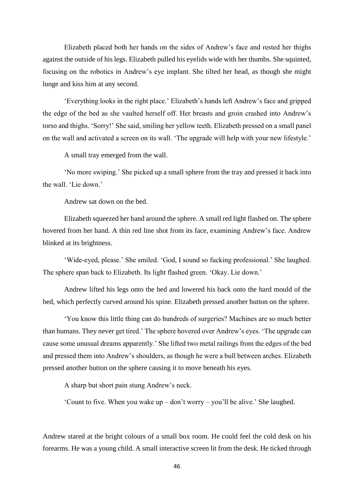Elizabeth placed both her hands on the sides of Andrew's face and rested her thighs against the outside of his legs. Elizabeth pulled his eyelids wide with her thumbs. She squinted, focusing on the robotics in Andrew's eye implant. She tilted her head, as though she might lunge and kiss him at any second.

'Everything looks in the right place.' Elizabeth's hands left Andrew's face and gripped the edge of the bed as she vaulted herself off. Her breasts and groin crashed into Andrew's torso and thighs. 'Sorry!' She said, smiling her yellow teeth. Elizabeth pressed on a small panel on the wall and activated a screen on its wall. 'The upgrade will help with your new lifestyle.'

A small tray emerged from the wall.

'No more swiping.' She picked up a small sphere from the tray and pressed it back into the wall. 'Lie down.'

Andrew sat down on the bed.

Elizabeth squeezed her hand around the sphere. A small red light flashed on. The sphere hovered from her hand. A thin red line shot from its face, examining Andrew's face. Andrew blinked at its brightness.

'Wide-eyed, please.' She smiled. 'God, I sound so fucking professional.' She laughed. The sphere span back to Elizabeth. Its light flashed green. 'Okay. Lie down.'

Andrew lifted his legs onto the bed and lowered his back onto the hard mould of the bed, which perfectly curved around his spine. Elizabeth pressed another button on the sphere.

'You know this little thing can do hundreds of surgeries? Machines are so much better than humans. They never get tired.' The sphere hovered over Andrew's eyes. 'The upgrade can cause some unusual dreams apparently.' She lifted two metal railings from the edges of the bed and pressed them into Andrew's shoulders, as though he were a bull between arches. Elizabeth pressed another button on the sphere causing it to move beneath his eyes.

A sharp but short pain stung Andrew's neck.

'Count to five. When you wake up – don't worry – you'll be alive.' She laughed.

Andrew stared at the bright colours of a small box room. He could feel the cold desk on his forearms. He was a young child. A small interactive screen lit from the desk. He ticked through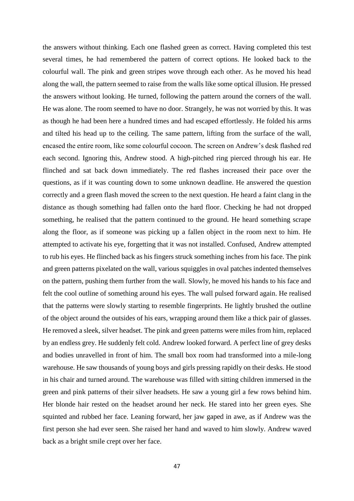the answers without thinking. Each one flashed green as correct. Having completed this test several times, he had remembered the pattern of correct options. He looked back to the colourful wall. The pink and green stripes wove through each other. As he moved his head along the wall, the pattern seemed to raise from the walls like some optical illusion. He pressed the answers without looking. He turned, following the pattern around the corners of the wall. He was alone. The room seemed to have no door. Strangely, he was not worried by this. It was as though he had been here a hundred times and had escaped effortlessly. He folded his arms and tilted his head up to the ceiling. The same pattern, lifting from the surface of the wall, encased the entire room, like some colourful cocoon. The screen on Andrew's desk flashed red each second. Ignoring this, Andrew stood. A high-pitched ring pierced through his ear. He flinched and sat back down immediately. The red flashes increased their pace over the questions, as if it was counting down to some unknown deadline. He answered the question correctly and a green flash moved the screen to the next question. He heard a faint clang in the distance as though something had fallen onto the hard floor. Checking he had not dropped something, he realised that the pattern continued to the ground. He heard something scrape along the floor, as if someone was picking up a fallen object in the room next to him. He attempted to activate his eye, forgetting that it was not installed. Confused, Andrew attempted to rub his eyes. He flinched back as his fingers struck something inches from his face. The pink and green patterns pixelated on the wall, various squiggles in oval patches indented themselves on the pattern, pushing them further from the wall. Slowly, he moved his hands to his face and felt the cool outline of something around his eyes. The wall pulsed forward again. He realised that the patterns were slowly starting to resemble fingerprints. He lightly brushed the outline of the object around the outsides of his ears, wrapping around them like a thick pair of glasses. He removed a sleek, silver headset. The pink and green patterns were miles from him, replaced by an endless grey. He suddenly felt cold. Andrew looked forward. A perfect line of grey desks and bodies unravelled in front of him. The small box room had transformed into a mile-long warehouse. He saw thousands of young boys and girls pressing rapidly on their desks. He stood in his chair and turned around. The warehouse was filled with sitting children immersed in the green and pink patterns of their silver headsets. He saw a young girl a few rows behind him. Her blonde hair rested on the headset around her neck. He stared into her green eyes. She squinted and rubbed her face. Leaning forward, her jaw gaped in awe, as if Andrew was the first person she had ever seen. She raised her hand and waved to him slowly. Andrew waved back as a bright smile crept over her face.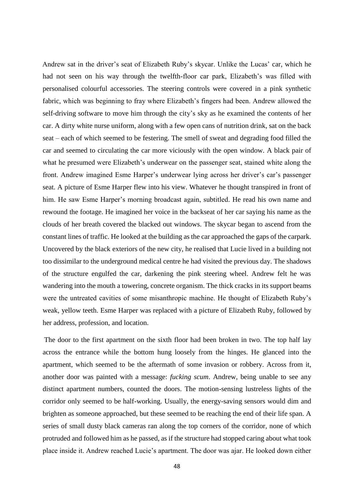Andrew sat in the driver's seat of Elizabeth Ruby's skycar. Unlike the Lucas' car, which he had not seen on his way through the twelfth-floor car park, Elizabeth's was filled with personalised colourful accessories. The steering controls were covered in a pink synthetic fabric, which was beginning to fray where Elizabeth's fingers had been. Andrew allowed the self-driving software to move him through the city's sky as he examined the contents of her car. A dirty white nurse uniform, along with a few open cans of nutrition drink, sat on the back seat – each of which seemed to be festering. The smell of sweat and degrading food filled the car and seemed to circulating the car more viciously with the open window. A black pair of what he presumed were Elizabeth's underwear on the passenger seat, stained white along the front. Andrew imagined Esme Harper's underwear lying across her driver's car's passenger seat. A picture of Esme Harper flew into his view. Whatever he thought transpired in front of him. He saw Esme Harper's morning broadcast again, subtitled. He read his own name and rewound the footage. He imagined her voice in the backseat of her car saying his name as the clouds of her breath covered the blacked out windows. The skycar began to ascend from the constant lines of traffic. He looked at the building as the car approached the gaps of the carpark. Uncovered by the black exteriors of the new city, he realised that Lucie lived in a building not too dissimilar to the underground medical centre he had visited the previous day. The shadows of the structure engulfed the car, darkening the pink steering wheel. Andrew felt he was wandering into the mouth a towering, concrete organism. The thick cracks in its support beams were the untreated cavities of some misanthropic machine. He thought of Elizabeth Ruby's weak, yellow teeth. Esme Harper was replaced with a picture of Elizabeth Ruby, followed by her address, profession, and location.

The door to the first apartment on the sixth floor had been broken in two. The top half lay across the entrance while the bottom hung loosely from the hinges. He glanced into the apartment, which seemed to be the aftermath of some invasion or robbery. Across from it, another door was painted with a message: *fucking scum*. Andrew, being unable to see any distinct apartment numbers, counted the doors. The motion-sensing lustreless lights of the corridor only seemed to be half-working. Usually, the energy-saving sensors would dim and brighten as someone approached, but these seemed to be reaching the end of their life span. A series of small dusty black cameras ran along the top corners of the corridor, none of which protruded and followed him as he passed, as if the structure had stopped caring about what took place inside it. Andrew reached Lucie's apartment. The door was ajar. He looked down either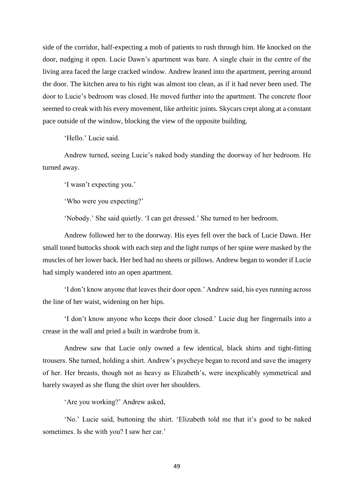side of the corridor, half-expecting a mob of patients to rush through him. He knocked on the door, nudging it open. Lucie Dawn's apartment was bare. A single chair in the centre of the living area faced the large cracked window. Andrew leaned into the apartment, peering around the door. The kitchen area to his right was almost too clean, as if it had never been used. The door to Lucie's bedroom was closed. He moved further into the apartment. The concrete floor seemed to creak with his every movement, like arthritic joints. Skycars crept along at a constant pace outside of the window, blocking the view of the opposite building.

'Hello.' Lucie said.

Andrew turned, seeing Lucie's naked body standing the doorway of her bedroom. He turned away.

'I wasn't expecting you.'

'Who were you expecting?'

'Nobody.' She said quietly. 'I can get dressed.' She turned to her bedroom.

Andrew followed her to the doorway. His eyes fell over the back of Lucie Dawn. Her small toned buttocks shook with each step and the light rumps of her spine were masked by the muscles of her lower back. Her bed had no sheets or pillows. Andrew began to wonder if Lucie had simply wandered into an open apartment.

'I don't know anyone that leaves their door open.' Andrew said, his eyes running across the line of her waist, widening on her hips.

'I don't know anyone who keeps their door closed.' Lucie dug her fingernails into a crease in the wall and pried a built in wardrobe from it.

Andrew saw that Lucie only owned a few identical, black shirts and tight-fitting trousers. She turned, holding a shirt. Andrew's psycheye began to record and save the imagery of her. Her breasts, though not as heavy as Elizabeth's, were inexplicably symmetrical and barely swayed as she flung the shirt over her shoulders.

'Are you working?' Andrew asked,

'No.' Lucie said, buttoning the shirt. 'Elizabeth told me that it's good to be naked sometimes. Is she with you? I saw her car.'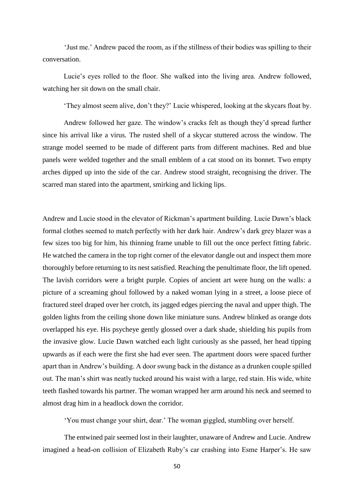'Just me.' Andrew paced the room, as if the stillness of their bodies was spilling to their conversation.

Lucie's eyes rolled to the floor. She walked into the living area. Andrew followed, watching her sit down on the small chair.

'They almost seem alive, don't they?' Lucie whispered, looking at the skycars float by.

Andrew followed her gaze. The window's cracks felt as though they'd spread further since his arrival like a virus. The rusted shell of a skycar stuttered across the window. The strange model seemed to be made of different parts from different machines. Red and blue panels were welded together and the small emblem of a cat stood on its bonnet. Two empty arches dipped up into the side of the car. Andrew stood straight, recognising the driver. The scarred man stared into the apartment, smirking and licking lips.

Andrew and Lucie stood in the elevator of Rickman's apartment building. Lucie Dawn's black formal clothes seemed to match perfectly with her dark hair. Andrew's dark grey blazer was a few sizes too big for him, his thinning frame unable to fill out the once perfect fitting fabric. He watched the camera in the top right corner of the elevator dangle out and inspect them more thoroughly before returning to its nest satisfied. Reaching the penultimate floor, the lift opened. The lavish corridors were a bright purple. Copies of ancient art were hung on the walls: a picture of a screaming ghoul followed by a naked woman lying in a street, a loose piece of fractured steel draped over her crotch, its jagged edges piercing the naval and upper thigh. The golden lights from the ceiling shone down like miniature suns. Andrew blinked as orange dots overlapped his eye. His psycheye gently glossed over a dark shade, shielding his pupils from the invasive glow. Lucie Dawn watched each light curiously as she passed, her head tipping upwards as if each were the first she had ever seen. The apartment doors were spaced further apart than in Andrew's building. A door swung back in the distance as a drunken couple spilled out. The man's shirt was neatly tucked around his waist with a large, red stain. His wide, white teeth flashed towards his partner. The woman wrapped her arm around his neck and seemed to almost drag him in a headlock down the corridor.

'You must change your shirt, dear.' The woman giggled, stumbling over herself.

The entwined pair seemed lost in their laughter, unaware of Andrew and Lucie. Andrew imagined a head-on collision of Elizabeth Ruby's car crashing into Esme Harper's. He saw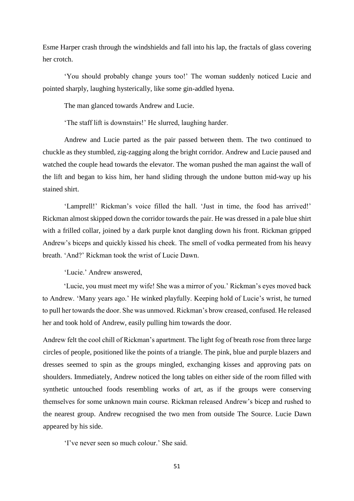Esme Harper crash through the windshields and fall into his lap, the fractals of glass covering her crotch.

'You should probably change yours too!' The woman suddenly noticed Lucie and pointed sharply, laughing hysterically, like some gin-addled hyena.

The man glanced towards Andrew and Lucie.

'The staff lift is downstairs!' He slurred, laughing harder.

Andrew and Lucie parted as the pair passed between them. The two continued to chuckle as they stumbled, zig-zagging along the bright corridor. Andrew and Lucie paused and watched the couple head towards the elevator. The woman pushed the man against the wall of the lift and began to kiss him, her hand sliding through the undone button mid-way up his stained shirt.

'Lamprell!' Rickman's voice filled the hall. 'Just in time, the food has arrived!' Rickman almost skipped down the corridor towards the pair. He was dressed in a pale blue shirt with a frilled collar, joined by a dark purple knot dangling down his front. Rickman gripped Andrew's biceps and quickly kissed his cheek. The smell of vodka permeated from his heavy breath. 'And?' Rickman took the wrist of Lucie Dawn.

'Lucie.' Andrew answered,

'Lucie, you must meet my wife! She was a mirror of you.' Rickman's eyes moved back to Andrew. 'Many years ago.' He winked playfully. Keeping hold of Lucie's wrist, he turned to pull her towards the door. She was unmoved. Rickman's brow creased, confused. He released her and took hold of Andrew, easily pulling him towards the door.

Andrew felt the cool chill of Rickman's apartment. The light fog of breath rose from three large circles of people, positioned like the points of a triangle. The pink, blue and purple blazers and dresses seemed to spin as the groups mingled, exchanging kisses and approving pats on shoulders. Immediately, Andrew noticed the long tables on either side of the room filled with synthetic untouched foods resembling works of art, as if the groups were conserving themselves for some unknown main course. Rickman released Andrew's bicep and rushed to the nearest group. Andrew recognised the two men from outside The Source. Lucie Dawn appeared by his side.

'I've never seen so much colour.' She said.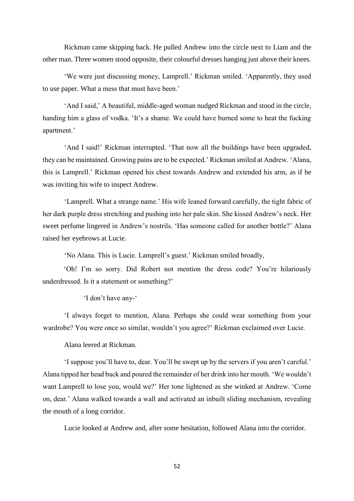Rickman came skipping back. He pulled Andrew into the circle next to Liam and the other man. Three women stood opposite, their colourful dresses hanging just above their knees.

'We were just discussing money, Lamprell.' Rickman smiled. 'Apparently, they used to use paper. What a mess that must have been.'

'And I said,' A beautiful, middle-aged woman nudged Rickman and stood in the circle, handing him a glass of vodka. 'It's a shame. We could have burned some to heat the fucking apartment.'

'And I said!' Rickman interrupted. 'That now all the buildings have been upgraded, they can be maintained. Growing pains are to be expected.' Rickman smiled at Andrew. 'Alana, this is Lamprell.' Rickman opened his chest towards Andrew and extended his arm, as if he was inviting his wife to inspect Andrew.

'Lamprell. What a strange name.' His wife leaned forward carefully, the tight fabric of her dark purple dress stretching and pushing into her pale skin. She kissed Andrew's neck. Her sweet perfume lingered in Andrew's nostrils. 'Has someone called for another bottle?' Alana raised her eyebrows at Lucie.

'No Alana. This is Lucie. Lamprell's guest.' Rickman smiled broadly,

'Oh! I'm so sorry. Did Robert not mention the dress code? You're hilariously underdressed. Is it a statement or something?'

'I don't have any-'

'I always forget to mention, Alana. Perhaps she could wear something from your wardrobe? You were once so similar, wouldn't you agree?' Rickman exclaimed over Lucie.

Alana leered at Rickman.

'I suppose you'll have to, dear. You'll be swept up by the servers if you aren't careful.' Alana tipped her head back and poured the remainder of her drink into her mouth. 'We wouldn't want Lamprell to lose you, would we?' Her tone lightened as she winked at Andrew. 'Come on, dear.' Alana walked towards a wall and activated an inbuilt sliding mechanism, revealing the mouth of a long corridor.

Lucie looked at Andrew and, after some hesitation, followed Alana into the corridor.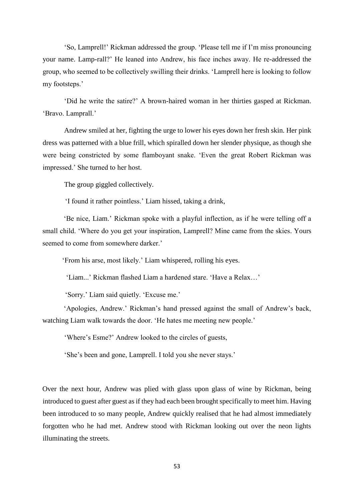'So, Lamprell!' Rickman addressed the group. 'Please tell me if I'm miss pronouncing your name. Lamp-rall?' He leaned into Andrew, his face inches away. He re-addressed the group, who seemed to be collectively swilling their drinks. 'Lamprell here is looking to follow my footsteps.'

'Did he write the satire?' A brown-haired woman in her thirties gasped at Rickman. 'Bravo. Lamprall.'

Andrew smiled at her, fighting the urge to lower his eyes down her fresh skin. Her pink dress was patterned with a blue frill, which spiralled down her slender physique, as though she were being constricted by some flamboyant snake. 'Even the great Robert Rickman was impressed.' She turned to her host.

The group giggled collectively.

'I found it rather pointless.' Liam hissed, taking a drink,

'Be nice, Liam.' Rickman spoke with a playful inflection, as if he were telling off a small child. 'Where do you get your inspiration, Lamprell? Mine came from the skies. Yours seemed to come from somewhere darker.'

'From his arse, most likely.' Liam whispered, rolling his eyes.

'Liam...' Rickman flashed Liam a hardened stare. 'Have a Relax…'

'Sorry.' Liam said quietly. 'Excuse me.'

'Apologies, Andrew.' Rickman's hand pressed against the small of Andrew's back, watching Liam walk towards the door. 'He hates me meeting new people.'

'Where's Esme?' Andrew looked to the circles of guests,

'She's been and gone, Lamprell. I told you she never stays.'

Over the next hour, Andrew was plied with glass upon glass of wine by Rickman, being introduced to guest after guest as if they had each been brought specifically to meet him. Having been introduced to so many people, Andrew quickly realised that he had almost immediately forgotten who he had met. Andrew stood with Rickman looking out over the neon lights illuminating the streets.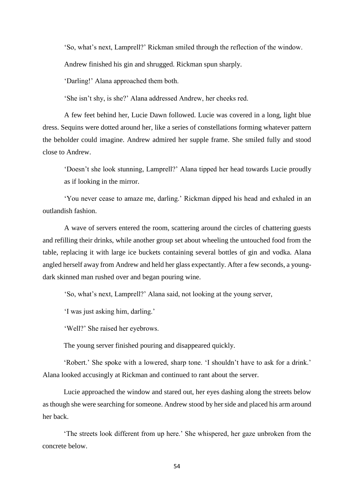'So, what's next, Lamprell?' Rickman smiled through the reflection of the window.

Andrew finished his gin and shrugged. Rickman spun sharply.

'Darling!' Alana approached them both.

'She isn't shy, is she?' Alana addressed Andrew, her cheeks red.

A few feet behind her, Lucie Dawn followed. Lucie was covered in a long, light blue dress. Sequins were dotted around her, like a series of constellations forming whatever pattern the beholder could imagine. Andrew admired her supple frame. She smiled fully and stood close to Andrew.

'Doesn't she look stunning, Lamprell?' Alana tipped her head towards Lucie proudly as if looking in the mirror.

'You never cease to amaze me, darling.' Rickman dipped his head and exhaled in an outlandish fashion.

A wave of servers entered the room, scattering around the circles of chattering guests and refilling their drinks, while another group set about wheeling the untouched food from the table, replacing it with large ice buckets containing several bottles of gin and vodka. Alana angled herself away from Andrew and held her glass expectantly. After a few seconds, a youngdark skinned man rushed over and began pouring wine.

'So, what's next, Lamprell?' Alana said, not looking at the young server,

'I was just asking him, darling.'

'Well?' She raised her eyebrows.

The young server finished pouring and disappeared quickly.

'Robert.' She spoke with a lowered, sharp tone. 'I shouldn't have to ask for a drink.' Alana looked accusingly at Rickman and continued to rant about the server.

Lucie approached the window and stared out, her eyes dashing along the streets below as though she were searching for someone. Andrew stood by her side and placed his arm around her back.

'The streets look different from up here.' She whispered, her gaze unbroken from the concrete below.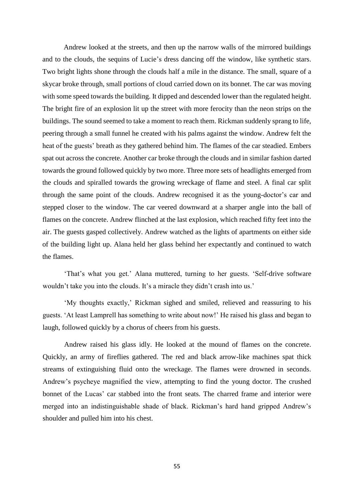Andrew looked at the streets, and then up the narrow walls of the mirrored buildings and to the clouds, the sequins of Lucie's dress dancing off the window, like synthetic stars. Two bright lights shone through the clouds half a mile in the distance. The small, square of a skycar broke through, small portions of cloud carried down on its bonnet. The car was moving with some speed towards the building. It dipped and descended lower than the regulated height. The bright fire of an explosion lit up the street with more ferocity than the neon strips on the buildings. The sound seemed to take a moment to reach them. Rickman suddenly sprang to life, peering through a small funnel he created with his palms against the window. Andrew felt the heat of the guests' breath as they gathered behind him. The flames of the car steadied. Embers spat out across the concrete. Another car broke through the clouds and in similar fashion darted towards the ground followed quickly by two more. Three more sets of headlights emerged from the clouds and spiralled towards the growing wreckage of flame and steel. A final car split through the same point of the clouds. Andrew recognised it as the young-doctor's car and stepped closer to the window. The car veered downward at a sharper angle into the ball of flames on the concrete. Andrew flinched at the last explosion, which reached fifty feet into the air. The guests gasped collectively. Andrew watched as the lights of apartments on either side of the building light up. Alana held her glass behind her expectantly and continued to watch the flames.

'That's what you get.' Alana muttered, turning to her guests. 'Self-drive software wouldn't take you into the clouds. It's a miracle they didn't crash into us.'

'My thoughts exactly,' Rickman sighed and smiled, relieved and reassuring to his guests. 'At least Lamprell has something to write about now!' He raised his glass and began to laugh, followed quickly by a chorus of cheers from his guests.

Andrew raised his glass idly. He looked at the mound of flames on the concrete. Quickly, an army of fireflies gathered. The red and black arrow-like machines spat thick streams of extinguishing fluid onto the wreckage. The flames were drowned in seconds. Andrew's psycheye magnified the view, attempting to find the young doctor. The crushed bonnet of the Lucas' car stabbed into the front seats. The charred frame and interior were merged into an indistinguishable shade of black. Rickman's hard hand gripped Andrew's shoulder and pulled him into his chest.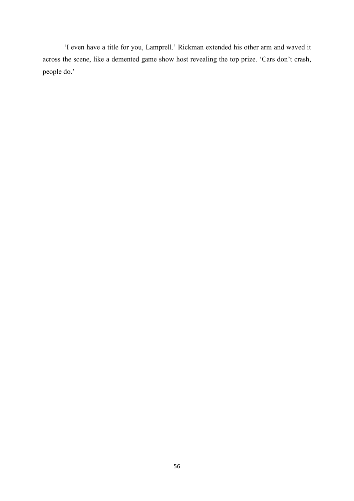'I even have a title for you, Lamprell.' Rickman extended his other arm and waved it across the scene, like a demented game show host revealing the top prize. 'Cars don't crash, people do.'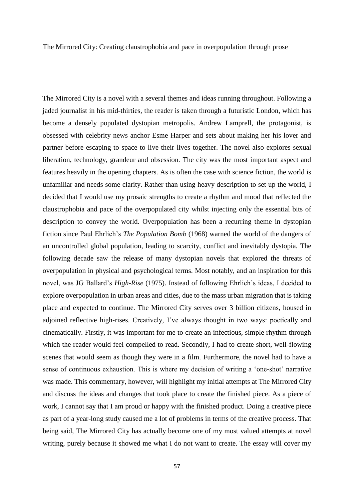The Mirrored City: Creating claustrophobia and pace in overpopulation through prose

The Mirrored City is a novel with a several themes and ideas running throughout. Following a jaded journalist in his mid-thirties, the reader is taken through a futuristic London, which has become a densely populated dystopian metropolis. Andrew Lamprell, the protagonist, is obsessed with celebrity news anchor Esme Harper and sets about making her his lover and partner before escaping to space to live their lives together. The novel also explores sexual liberation, technology, grandeur and obsession. The city was the most important aspect and features heavily in the opening chapters. As is often the case with science fiction, the world is unfamiliar and needs some clarity. Rather than using heavy description to set up the world, I decided that I would use my prosaic strengths to create a rhythm and mood that reflected the claustrophobia and pace of the overpopulated city whilst injecting only the essential bits of description to convey the world. Overpopulation has been a recurring theme in dystopian fiction since Paul Ehrlich's *The Population Bomb* (1968) warned the world of the dangers of an uncontrolled global population, leading to scarcity, conflict and inevitably dystopia. The following decade saw the release of many dystopian novels that explored the threats of overpopulation in physical and psychological terms. Most notably, and an inspiration for this novel, was JG Ballard's *High-Rise* (1975). Instead of following Ehrlich's ideas, I decided to explore overpopulation in urban areas and cities, due to the mass urban migration that is taking place and expected to continue. The Mirrored City serves over 3 billion citizens, housed in adjoined reflective high-rises. Creatively, I've always thought in two ways: poetically and cinematically. Firstly, it was important for me to create an infectious, simple rhythm through which the reader would feel compelled to read. Secondly, I had to create short, well-flowing scenes that would seem as though they were in a film. Furthermore, the novel had to have a sense of continuous exhaustion. This is where my decision of writing a 'one-shot' narrative was made. This commentary, however, will highlight my initial attempts at The Mirrored City and discuss the ideas and changes that took place to create the finished piece. As a piece of work, I cannot say that I am proud or happy with the finished product. Doing a creative piece as part of a year-long study caused me a lot of problems in terms of the creative process. That being said, The Mirrored City has actually become one of my most valued attempts at novel writing, purely because it showed me what I do not want to create. The essay will cover my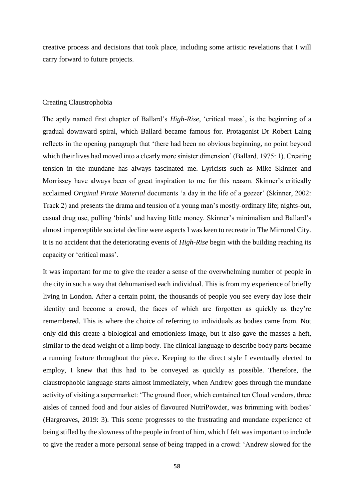creative process and decisions that took place, including some artistic revelations that I will carry forward to future projects.

# Creating Claustrophobia

The aptly named first chapter of Ballard's *High-Rise*, 'critical mass', is the beginning of a gradual downward spiral, which Ballard became famous for. Protagonist Dr Robert Laing reflects in the opening paragraph that 'there had been no obvious beginning, no point beyond which their lives had moved into a clearly more sinister dimension' (Ballard, 1975: 1). Creating tension in the mundane has always fascinated me. Lyricists such as Mike Skinner and Morrissey have always been of great inspiration to me for this reason. Skinner's critically acclaimed *Original Pirate Material* documents 'a day in the life of a geezer' (Skinner, 2002: Track 2) and presents the drama and tension of a young man's mostly-ordinary life; nights-out, casual drug use, pulling 'birds' and having little money. Skinner's minimalism and Ballard's almost imperceptible societal decline were aspects I was keen to recreate in The Mirrored City. It is no accident that the deteriorating events of *High-Rise* begin with the building reaching its capacity or 'critical mass'.

It was important for me to give the reader a sense of the overwhelming number of people in the city in such a way that dehumanised each individual. This is from my experience of briefly living in London. After a certain point, the thousands of people you see every day lose their identity and become a crowd, the faces of which are forgotten as quickly as they're remembered. This is where the choice of referring to individuals as bodies came from. Not only did this create a biological and emotionless image, but it also gave the masses a heft, similar to the dead weight of a limp body. The clinical language to describe body parts became a running feature throughout the piece. Keeping to the direct style I eventually elected to employ, I knew that this had to be conveyed as quickly as possible. Therefore, the claustrophobic language starts almost immediately, when Andrew goes through the mundane activity of visiting a supermarket: 'The ground floor, which contained ten Cloud vendors, three aisles of canned food and four aisles of flavoured NutriPowder, was brimming with bodies' (Hargreaves, 2019: 3). This scene progresses to the frustrating and mundane experience of being stifled by the slowness of the people in front of him, which I felt was important to include to give the reader a more personal sense of being trapped in a crowd: 'Andrew slowed for the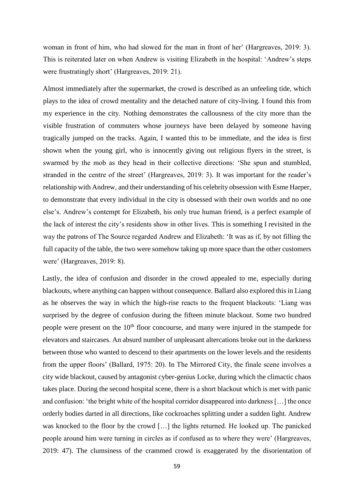woman in front of him, who had slowed for the man in front of her' (Hargreaves, 2019: 3). This is reiterated later on when Andrew is visiting Elizabeth in the hospital: 'Andrew's steps were frustratingly short' (Hargreaves, 2019: 21).

Almost immediately after the supermarket, the crowd is described as an unfeeling tide, which plays to the idea of crowd mentality and the detached nature of city-living. I found this from my experience in the city. Nothing demonstrates the callousness of the city more than the visible frustration of commuters whose journeys have been delayed by someone having tragically jumped on the tracks. Again, I wanted this to be immediate, and the idea is first shown when the young girl, who is innocently giving out religious flyers in the street, is swarmed by the mob as they head in their collective directions: 'She spun and stumbled, stranded in the centre of the street' (Hargreaves, 2019: 3). It was important for the reader's relationship with Andrew, and their understanding of his celebrity obsession with Esme Harper, to demonstrate that every individual in the city is obsessed with their own worlds and no one else's. Andrew's contempt for Elizabeth, his only true human friend, is a perfect example of the lack of interest the city's residents show in other lives. This is something I revisited in the way the patrons of The Source regarded Andrew and Elizabeth: 'It was as if, by not filling the full capacity of the table, the two were somehow taking up more space than the other customers were' (Hargreaves, 2019: 8).

Lastly, the idea of confusion and disorder in the crowd appealed to me, especially during blackouts, where anything can happen without consequence. Ballard also explored this in Liang as he observes the way in which the high-rise reacts to the frequent blackouts: 'Liang was surprised by the degree of confusion during the fifteen minute blackout. Some two hundred people were present on the 10<sup>th</sup> floor concourse, and many were injured in the stampede for elevators and staircases. An absurd number of unpleasant altercations broke out in the darkness between those who wanted to descend to their apartments on the lower levels and the residents from the upper floors' (Ballard, 1975: 20). In The Mirrored City, the finale scene involves a city wide blackout, caused by antagonist cyber-genius Locke, during which the climactic chaos takes place. During the second hospital scene, there is a short blackout which is met with panic and confusion: 'the bright white of the hospital corridor disappeared into darkness […] the once orderly bodies darted in all directions, like cockroaches splitting under a sudden light. Andrew was knocked to the floor by the crowd […] the lights returned. He looked up. The panicked people around him were turning in circles as if confused as to where they were' (Hargreaves, 2019: 47). The clumsiness of the crammed crowd is exaggerated by the disorientation of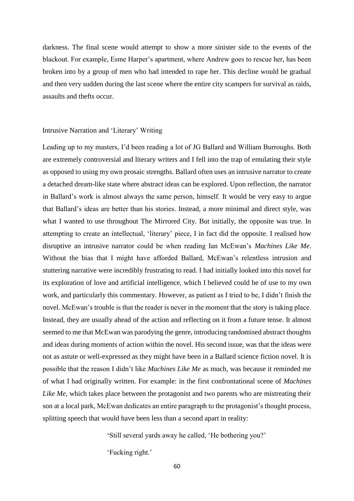darkness. The final scene would attempt to show a more sinister side to the events of the blackout. For example, Esme Harper's apartment, where Andrew goes to rescue her, has been broken into by a group of men who had intended to rape her. This decline would be gradual and then very sudden during the last scene where the entire city scampers for survival as raids, assaults and thefts occur.

### Intrusive Narration and 'Literary' Writing

Leading up to my masters, I'd been reading a lot of JG Ballard and William Burroughs. Both are extremely controversial and literary writers and I fell into the trap of emulating their style as opposed to using my own prosaic strengths. Ballard often uses an intrusive narrator to create a detached dream-like state where abstract ideas can be explored. Upon reflection, the narrator in Ballard's work is almost always the same person, himself. It would be very easy to argue that Ballard's ideas are better than his stories. Instead, a more minimal and direct style, was what I wanted to use throughout The Mirrored City. But initially, the opposite was true. In attempting to create an intellectual, 'literary' piece, I in fact did the opposite. I realised how disruptive an intrusive narrator could be when reading Ian McEwan's *Machines Like Me*. Without the bias that I might have afforded Ballard, McEwan's relentless intrusion and stuttering narrative were incredibly frustrating to read. I had initially looked into this novel for its exploration of love and artificial intelligence, which I believed could be of use to my own work, and particularly this commentary. However, as patient as I tried to be, I didn't finish the novel. McEwan's trouble is that the reader is never in the moment that the story is taking place. Instead, they are usually ahead of the action and reflecting on it from a future tense. It almost seemed to me that McEwan was parodying the genre, introducing randomised abstract thoughts and ideas during moments of action within the novel. His second issue, was that the ideas were not as astute or well-expressed as they might have been in a Ballard science fiction novel. It is possible that the reason I didn't like *Machines Like Me* as much, was because it reminded me of what I had originally written. For example: in the first confrontational scene of *Machines Like Me*, which takes place between the protagonist and two parents who are mistreating their son at a local park, McEwan dedicates an entire paragraph to the protagonist's thought process, splitting speech that would have been less than a second apart in reality:

'Still several yards away he called, 'He bothering you?'

'Fucking right.'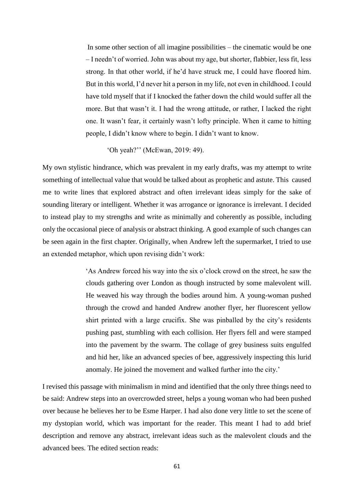In some other section of all imagine possibilities – the cinematic would be one – I needn't of worried. John was about my age, but shorter, flabbier, less fit, less strong. In that other world, if he'd have struck me, I could have floored him. But in this world, I'd never hit a person in my life, not even in childhood. I could have told myself that if I knocked the father down the child would suffer all the more. But that wasn't it. I had the wrong attitude, or rather, I lacked the right one. It wasn't fear, it certainly wasn't lofty principle. When it came to hitting people, I didn't know where to begin. I didn't want to know.

'Oh yeah?'' (McEwan, 2019: 49).

My own stylistic hindrance, which was prevalent in my early drafts, was my attempt to write something of intellectual value that would be talked about as prophetic and astute. This caused me to write lines that explored abstract and often irrelevant ideas simply for the sake of sounding literary or intelligent. Whether it was arrogance or ignorance is irrelevant. I decided to instead play to my strengths and write as minimally and coherently as possible, including only the occasional piece of analysis or abstract thinking. A good example of such changes can be seen again in the first chapter. Originally, when Andrew left the supermarket, I tried to use an extended metaphor, which upon revising didn't work:

> 'As Andrew forced his way into the six o'clock crowd on the street, he saw the clouds gathering over London as though instructed by some malevolent will. He weaved his way through the bodies around him. A young-woman pushed through the crowd and handed Andrew another flyer, her fluorescent yellow shirt printed with a large crucifix. She was pinballed by the city's residents pushing past, stumbling with each collision. Her flyers fell and were stamped into the pavement by the swarm. The collage of grey business suits engulfed and hid her, like an advanced species of bee, aggressively inspecting this lurid anomaly. He joined the movement and walked further into the city.'

I revised this passage with minimalism in mind and identified that the only three things need to be said: Andrew steps into an overcrowded street, helps a young woman who had been pushed over because he believes her to be Esme Harper. I had also done very little to set the scene of my dystopian world, which was important for the reader. This meant I had to add brief description and remove any abstract, irrelevant ideas such as the malevolent clouds and the advanced bees. The edited section reads: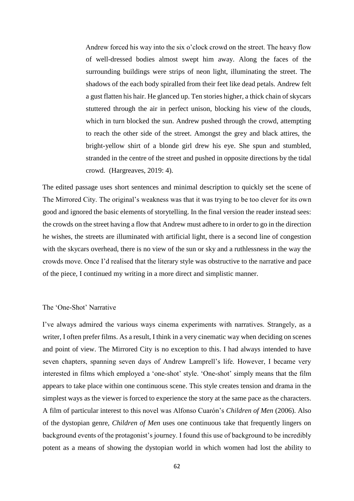Andrew forced his way into the six o'clock crowd on the street. The heavy flow of well-dressed bodies almost swept him away. Along the faces of the surrounding buildings were strips of neon light, illuminating the street. The shadows of the each body spiralled from their feet like dead petals. Andrew felt a gust flatten his hair. He glanced up. Ten stories higher, a thick chain of skycars stuttered through the air in perfect unison, blocking his view of the clouds, which in turn blocked the sun. Andrew pushed through the crowd, attempting to reach the other side of the street. Amongst the grey and black attires, the bright-yellow shirt of a blonde girl drew his eye. She spun and stumbled, stranded in the centre of the street and pushed in opposite directions by the tidal crowd. (Hargreaves, 2019: 4).

The edited passage uses short sentences and minimal description to quickly set the scene of The Mirrored City. The original's weakness was that it was trying to be too clever for its own good and ignored the basic elements of storytelling. In the final version the reader instead sees: the crowds on the street having a flow that Andrew must adhere to in order to go in the direction he wishes, the streets are illuminated with artificial light, there is a second line of congestion with the skycars overhead, there is no view of the sun or sky and a ruthlessness in the way the crowds move. Once I'd realised that the literary style was obstructive to the narrative and pace of the piece, I continued my writing in a more direct and simplistic manner.

# The 'One-Shot' Narrative

I've always admired the various ways cinema experiments with narratives. Strangely, as a writer, I often prefer films. As a result, I think in a very cinematic way when deciding on scenes and point of view. The Mirrored City is no exception to this. I had always intended to have seven chapters, spanning seven days of Andrew Lamprell's life. However, I became very interested in films which employed a 'one-shot' style. 'One-shot' simply means that the film appears to take place within one continuous scene. This style creates tension and drama in the simplest ways as the viewer is forced to experience the story at the same pace as the characters. A film of particular interest to this novel was Alfonso Cuarón's *Children of Men* (2006). Also of the dystopian genre, *Children of Men* uses one continuous take that frequently lingers on background events of the protagonist's journey. I found this use of background to be incredibly potent as a means of showing the dystopian world in which women had lost the ability to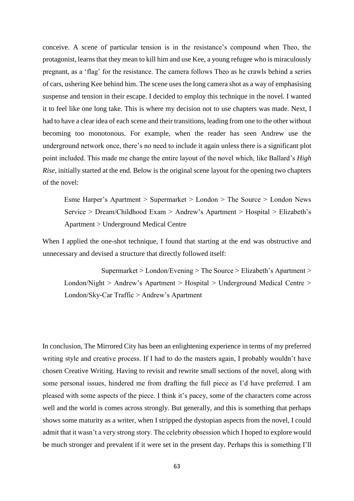conceive. A scene of particular tension is in the resistance's compound when Theo, the protagonist, learns that they mean to kill him and use Kee, a young refugee who is miraculously pregnant, as a 'flag' for the resistance. The camera follows Theo as he crawls behind a series of cars, ushering Kee behind him. The scene uses the long camera shot as a way of emphasising suspense and tension in their escape. I decided to employ this technique in the novel. I wanted it to feel like one long take. This is where my decision not to use chapters was made. Next, I had to have a clear idea of each scene and their transitions, leading from one to the other without becoming too monotonous. For example, when the reader has seen Andrew use the underground network once, there's no need to include it again unless there is a significant plot point included. This made me change the entire layout of the novel which, like Ballard's *High Rise*, initially started at the end. Below is the original scene layout for the opening two chapters of the novel:

Esme Harper's Apartment > Supermarket > London > The Source > London News Service > Dream/Childhood Exam > Andrew's Apartment > Hospital > Elizabeth's Apartment > Underground Medical Centre

When I applied the one-shot technique, I found that starting at the end was obstructive and unnecessary and devised a structure that directly followed itself:

Supermarket > London/Evening > The Source > Elizabeth's Apartment > London/Night > Andrew's Apartment > Hospital > Underground Medical Centre > London/Sky-Car Traffic > Andrew's Apartment

In conclusion, The Mirrored City has been an enlightening experience in terms of my preferred writing style and creative process. If I had to do the masters again, I probably wouldn't have chosen Creative Writing. Having to revisit and rewrite small sections of the novel, along with some personal issues, hindered me from drafting the full piece as I'd have preferred. I am pleased with some aspects of the piece. I think it's pacey, some of the characters come across well and the world is comes across strongly. But generally, and this is something that perhaps shows some maturity as a writer, when I stripped the dystopian aspects from the novel, I could admit that it wasn't a very strong story. The celebrity obsession which I hoped to explore would be much stronger and prevalent if it were set in the present day. Perhaps this is something I'll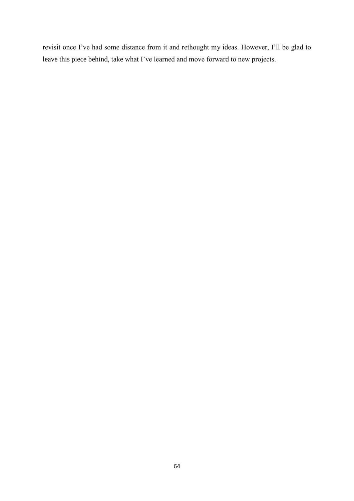revisit once I've had some distance from it and rethought my ideas. However, I'll be glad to leave this piece behind, take what I've learned and move forward to new projects.